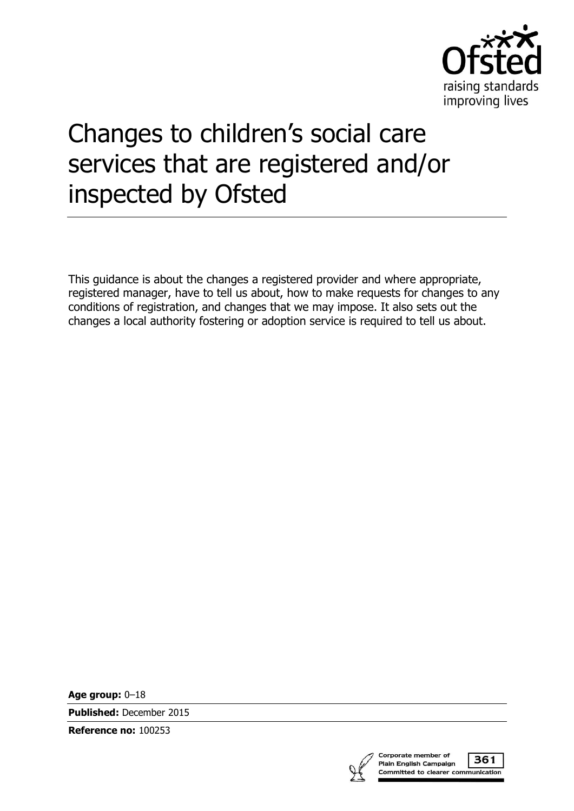

# Changes to children's social care services that are registered and/or inspected by Ofsted

This guidance is about the changes a registered provider and where appropriate, registered manager, have to tell us about, how to make requests for changes to any conditions of registration, and changes that we may impose. It also sets out the changes a local authority fostering or adoption service is required to tell us about.

**Age group:** 0–18

**Published:** December 2015

**Reference no:** 100253



361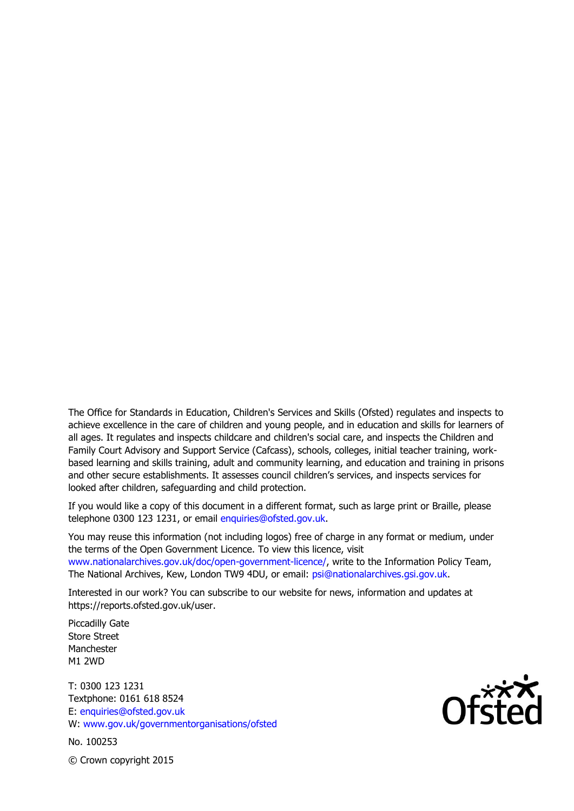The Office for Standards in Education, Children's Services and Skills (Ofsted) regulates and inspects to achieve excellence in the care of children and young people, and in education and skills for learners of all ages. It regulates and inspects childcare and children's social care, and inspects the Children and Family Court Advisory and Support Service (Cafcass), schools, colleges, initial teacher training, workbased learning and skills training, adult and community learning, and education and training in prisons and other secure establishments. It assesses council children's services, and inspects services for looked after children, safeguarding and child protection.

If you would like a copy of this document in a different format, such as large print or Braille, please telephone 0300 123 1231, or email enquiries@ofsted.gov.uk.

You may reuse this information (not including logos) free of charge in any format or medium, under the terms of the Open Government Licence. To view this licence, visit www.nationalarchives.gov.uk/doc/open-government-licence/, write to the Information Policy Team, The National Archives, Kew, London TW9 4DU, or email: psi@nationalarchives.gsi.gov.uk.

Interested in our work? You can subscribe to our website for news, information and updates at https://reports.ofsted.gov.uk/user.

Piccadilly Gate Store Street Manchester M1 2WD

T: 0300 123 1231 Textphone: 0161 618 8524 E: enquiries@ofsted.gov.uk W: www.gov.uk/governmentorganisations/ofsted

No. 100253



© Crown copyright 2015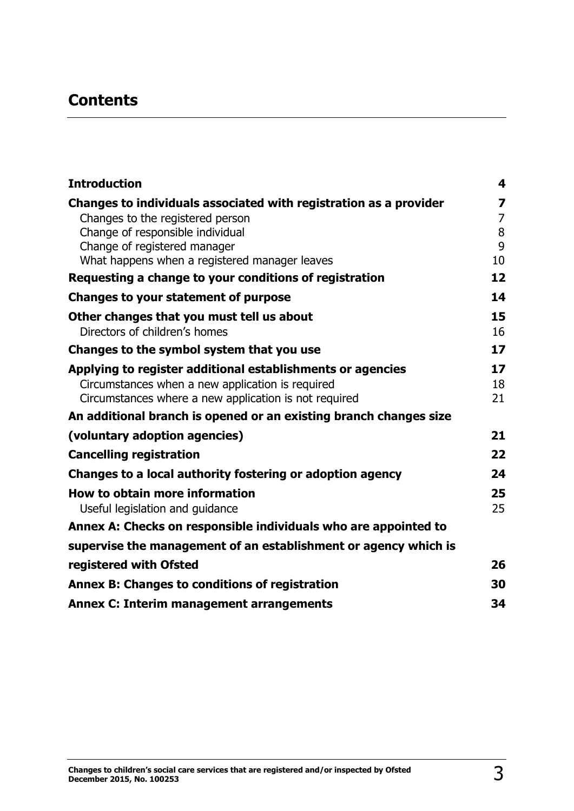# **Contents**

| <b>Introduction</b>                                               | 4                       |
|-------------------------------------------------------------------|-------------------------|
| Changes to individuals associated with registration as a provider | $\overline{\mathbf{z}}$ |
| Changes to the registered person                                  | $\overline{7}$          |
| Change of responsible individual<br>Change of registered manager  | 8<br>9                  |
| What happens when a registered manager leaves                     | 10                      |
| Requesting a change to your conditions of registration            | 12                      |
| <b>Changes to your statement of purpose</b>                       | 14                      |
| Other changes that you must tell us about                         | 15                      |
| Directors of children's homes                                     | 16                      |
| Changes to the symbol system that you use                         | 17                      |
| Applying to register additional establishments or agencies        | 17                      |
| Circumstances when a new application is required                  | 18                      |
| Circumstances where a new application is not required             | 21                      |
| An additional branch is opened or an existing branch changes size |                         |
| (voluntary adoption agencies)                                     | 21                      |
| <b>Cancelling registration</b>                                    | 22                      |
| Changes to a local authority fostering or adoption agency         | 24                      |
| How to obtain more information                                    | 25                      |
| Useful legislation and guidance                                   | 25                      |
| Annex A: Checks on responsible individuals who are appointed to   |                         |
| supervise the management of an establishment or agency which is   |                         |
| registered with Ofsted                                            | 26                      |
| Annex B: Changes to conditions of registration                    | 30                      |
| <b>Annex C: Interim management arrangements</b>                   | 34                      |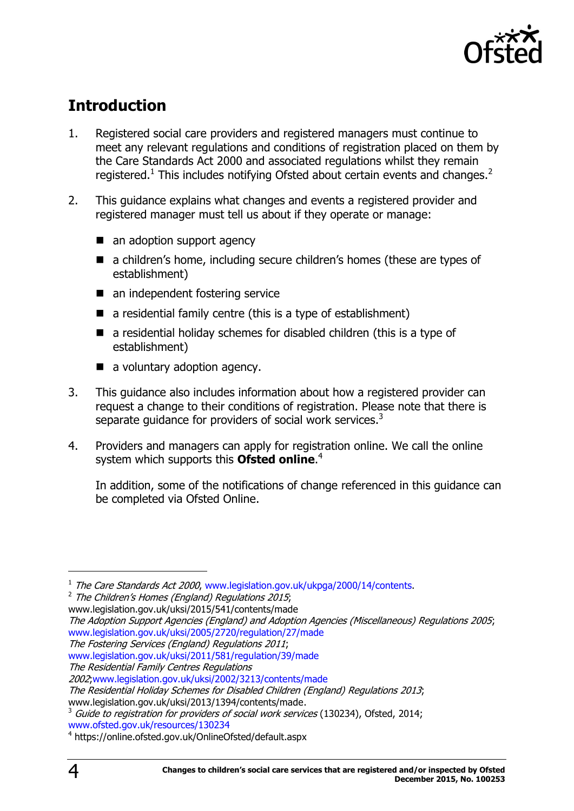

# <span id="page-3-0"></span>**Introduction**

- 1. Registered social care providers and registered managers must continue to meet any relevant regulations and conditions of registration placed on them by the Care Standards Act 2000 and associated regulations whilst they remain registered.<sup>1</sup> This includes notifying Ofsted about certain events and changes.<sup>2</sup>
- 2. This guidance explains what changes and events a registered provider and registered manager must tell us about if they operate or manage:
	- an adoption support agency
	- a children's home, including secure children's homes (these are types of establishment)
	- an independent fostering service
	- $\blacksquare$  a residential family centre (this is a type of establishment)
	- a residential holiday schemes for disabled children (this is a type of establishment)
	- a voluntary adoption agency.
- 3. This guidance also includes information about how a registered provider can request a change to their conditions of registration. Please note that there is separate guidance for providers of social work services.<sup>3</sup>
- 4. Providers and managers can apply for registration online. We call the online system which supports this **Ofsted online**. 4

In addition, some of the notifications of change referenced in this guidance can be completed via Ofsted Online.

 $^2$  The Children's Homes (England) Regulations 2015; www.legislation.gov.uk/uksi/2015/541/contents/made

The Adoption Support Agencies (England) and Adoption Agencies (Miscellaneous) Regulations 2005; [www.legislation.gov.uk/uksi/2005/2720/regulation/27/made](http://www.legislation.gov.uk/uksi/2005/2720/regulation/27/made)

[www.ofsted.gov.uk/resources/130234](http://www.ofsted.gov.uk/resources/130234)

<sup>&</sup>lt;sup>1</sup> The Care Standards Act 2000, [www.legislation.gov.uk/ukpga/2000/14/contents.](http://www.legislation.gov.uk/ukpga/2000/14/contents)

The Fostering Services (England) Regulations 2011;

[www.legislation.gov.uk/uksi/2011/581/regulation/39/made](http://www.legislation.gov.uk/uksi/2011/581/regulation/39/made)

The Residential Family Centres Regulations

<sup>2002</sup>[;www.legislation.gov.uk/uksi/2002/3213/contents/made](http://www.legislation.gov.uk/uksi/2002/3213/contents/made)

The Residential Holiday Schemes for Disabled Children (England) Regulations 2013; www.legislation.gov.uk/uksi/2013/1394/contents/made.

 $3$  Guide to registration for providers of social work services (130234), Ofsted, 2014;

<sup>4</sup> <https://online.ofsted.gov.uk/OnlineOfsted/default.aspx>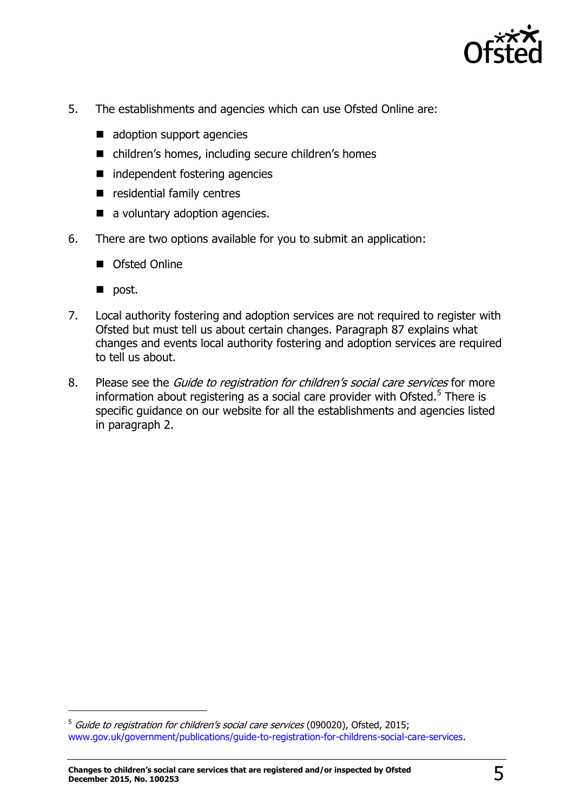

- 5. The establishments and agencies which can use Ofsted Online are:
	- adoption support agencies
	- children's homes, including secure children's homes
	- independent fostering agencies
	- $\blacksquare$  residential family centres
	- a voluntary adoption agencies.
- 6. There are two options available for you to submit an application:
	- Ofsted Online
	- $\blacksquare$  post.

j

- 7. Local authority fostering and adoption services are not required to register with Ofsted but must tell us about certain changes. Paragraph 87 explains what changes and events local authority fostering and adoption services are required to tell us about.
- 8. Please see the *Guide to registration for children's social care services* for more information about registering as a social care provider with Ofsted.<sup>5</sup> There is specific guidance on our website for all the establishments and agencies listed in paragraph 2.

<sup>&</sup>lt;sup>5</sup> Guide to registration for children's social care services (090020), Ofsted, 2015; [www.gov.uk/government/publications/guide-to-registration-for-childrens-social-care-services.](http://www.gov.uk/government/publications/guide-to-registration-for-childrens-social-care-services)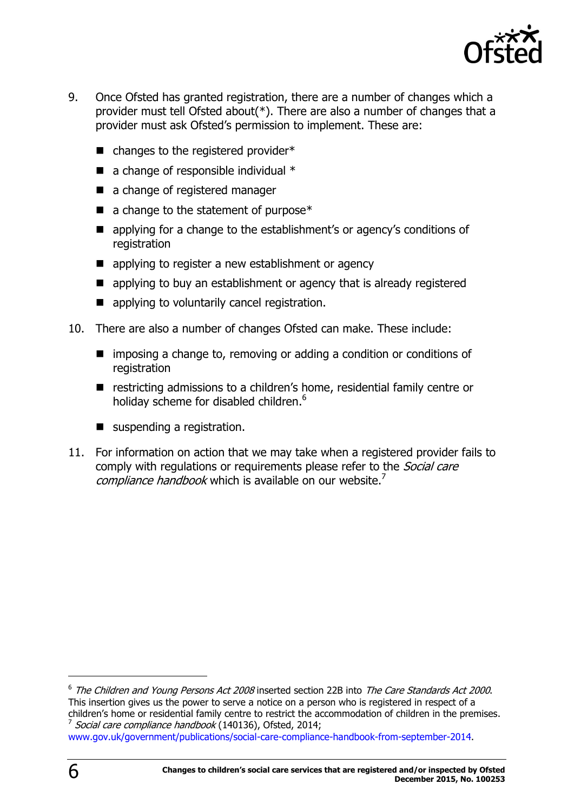

- 9. Once Ofsted has granted registration, there are a number of changes which a provider must tell Ofsted about(\*). There are also a number of changes that a provider must ask Ofsted's permission to implement. These are:
	- $\blacksquare$  changes to the registered provider\*
	- $\blacksquare$  a change of responsible individual  $*$
	- a change of registered manager
	- $\blacksquare$  a change to the statement of purpose\*
	- **E** applying for a change to the establishment's or agency's conditions of registration
	- **E** applying to register a new establishment or agency
	- applying to buy an establishment or agency that is already registered
	- **E** applying to voluntarily cancel registration.
- 10. There are also a number of changes Ofsted can make. These include:
	- imposing a change to, removing or adding a condition or conditions of registration
	- restricting admissions to a children's home, residential family centre or holiday scheme for disabled children.<sup>6</sup>
	- suspending a registration.
- 11. For information on action that we may take when a registered provider fails to comply with regulations or requirements please refer to the *Social care* compliance handbook which is available on our website.<sup>7</sup>

 $^6$  The Children and Young Persons Act 2008 inserted section 22B into The Care Standards Act 2000. This insertion gives us the power to serve a notice on a person who is registered in respect of a children's home or residential family centre to restrict the accommodation of children in the premises. 7 Social care compliance handbook (140136), Ofsted, 2014;

[www.gov.uk/government/publications/social-care-compliance-handbook-from-september-2014.](http://www.gov.uk/government/publications/social-care-compliance-handbook-from-september-2014)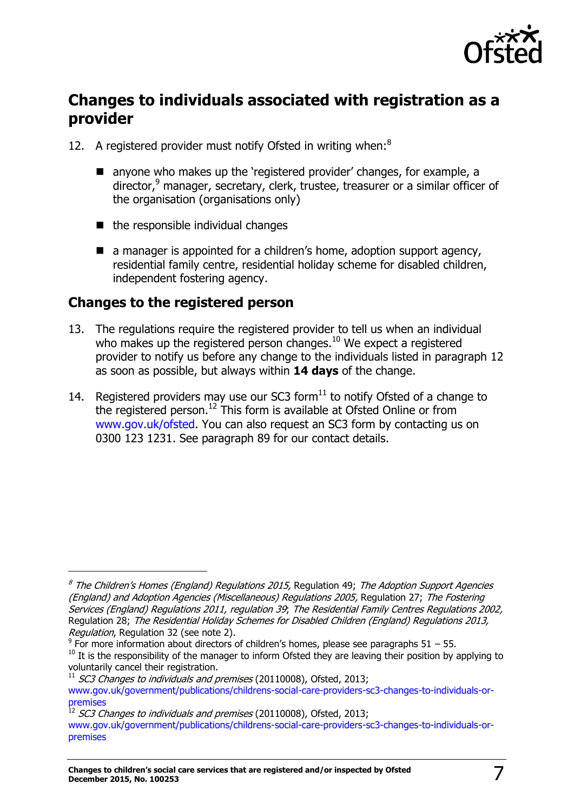

# <span id="page-6-0"></span>**Changes to individuals associated with registration as a provider**

- 12. A registered provider must notify Ofsted in writing when:<sup>8</sup>
	- anyone who makes up the 'registered provider' changes, for example, a director, $9$  manager, secretary, clerk, trustee, treasurer or a similar officer of the organisation (organisations only)
	- $\blacksquare$  the responsible individual changes
	- $\blacksquare$  a manager is appointed for a children's home, adoption support agency, residential family centre, residential holiday scheme for disabled children, independent fostering agency.

### <span id="page-6-1"></span>**Changes to the registered person**

- 13. The regulations require the registered provider to tell us when an individual who makes up the registered person changes. $^{10}$  We expect a registered provider to notify us before any change to the individuals listed in paragraph 12 as soon as possible, but always within **14 days** of the change.
- 14. Registered providers may use our SC3 form $^{11}$  to notify Ofsted of a change to the registered person.<sup>12</sup> This form is available at Ofsted Online or from [www.gov.uk/ofsted.](http://www.gov.uk/ofsted) You can also request an SC3 form by contacting us on 0300 123 1231. See paragraph 89 for our contact details.

<sup>&</sup>lt;sup>8</sup> The Children's Homes (England) Regulations 2015, Regulation 49; The Adoption Support Agencies (England) and Adoption Agencies (Miscellaneous) Regulations 2005, Regulation 27; The Fostering Services (England) Regulations 2011, regulation 39; The Residential Family Centres Regulations 2002, Regulation 28; The Residential Holiday Schemes for Disabled Children (England) Regulations 2013, Regulation, Regulation 32 (see note 2).

 $9$  For more information about directors of children's homes, please see paragraphs 51 – 55.

 $10$  It is the responsibility of the manager to inform Ofsted they are leaving their position by applying to voluntarily cancel their registration.

 $11$  SC3 Changes to individuals and premises (20110008), Ofsted, 2013;

[www.gov.uk/government/publications/childrens-social-care-providers-sc3-changes-to-individuals-or](http://www.gov.uk/government/publications/childrens-social-care-providers-sc3-changes-to-individuals-or-premises)[premises](http://www.gov.uk/government/publications/childrens-social-care-providers-sc3-changes-to-individuals-or-premises) 

 $^{12}$  *SC3 Changes to individuals and premises* (20110008), Ofsted, 2013;

[www.gov.uk/government/publications/childrens-social-care-providers-sc3-changes-to-individuals-or](http://www.gov.uk/government/publications/childrens-social-care-providers-sc3-changes-to-individuals-or-premises)[premises](http://www.gov.uk/government/publications/childrens-social-care-providers-sc3-changes-to-individuals-or-premises)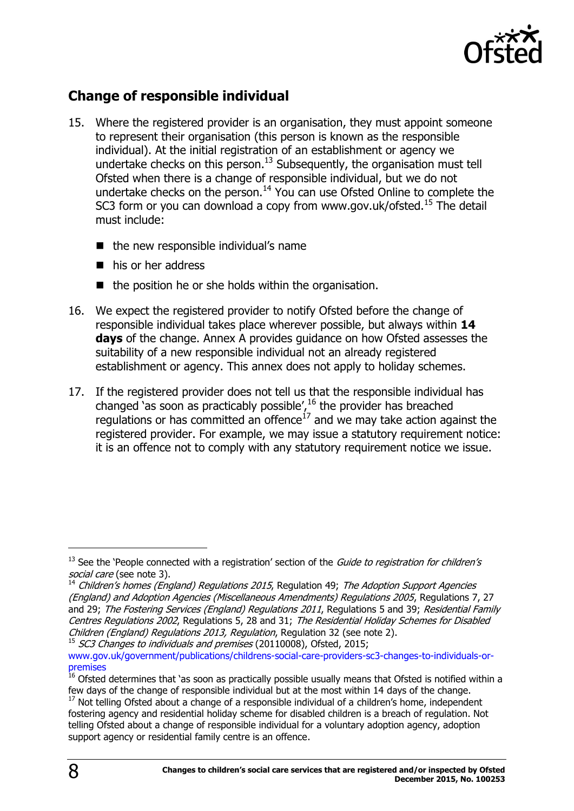

### <span id="page-7-0"></span>**Change of responsible individual**

- 15. Where the registered provider is an organisation, they must appoint someone to represent their organisation (this person is known as the responsible individual). At the initial registration of an establishment or agency we undertake checks on this person.<sup>13</sup> Subsequently, the organisation must tell Ofsted when there is a change of responsible individual, but we do not undertake checks on the person.<sup>14</sup> You can use Ofsted Online to complete the SC3 form or you can download a copy from www.gov.uk/ofsted.<sup>15</sup> The detail must include:
	- $\blacksquare$  the new responsible individual's name
	- his or her address
	- $\blacksquare$  the position he or she holds within the organisation.
- 16. We expect the registered provider to notify Ofsted before the change of responsible individual takes place wherever possible, but always within **14 days** of the change. Annex A provides guidance on how Ofsted assesses the suitability of a new responsible individual not an already registered establishment or agency. This annex does not apply to holiday schemes.
- 17. If the registered provider does not tell us that the responsible individual has changed 'as soon as practicably possible',  $^{16}$  the provider has breached regulations or has committed an offence $^{17}$  and we may take action against the registered provider. For example, we may issue a statutory requirement notice: it is an offence not to comply with any statutory requirement notice we issue.

 $15$  SC3 Changes to individuals and premises (20110008), Ofsted, 2015; [www.gov.uk/government/publications/childrens-social-care-providers-sc3-changes-to-individuals-or](http://www.gov.uk/government/publications/childrens-social-care-providers-sc3-changes-to-individuals-or-premises)[premises](http://www.gov.uk/government/publications/childrens-social-care-providers-sc3-changes-to-individuals-or-premises) 

 $13$  See the 'People connected with a registration' section of the *Guide to registration for children's* social care (see note 3).

 $14$  Children's homes (England) Regulations 2015, Regulation 49; The Adoption Support Agencies (England) and Adoption Agencies (Miscellaneous Amendments) Regulations 2005, Regulations 7, 27 and 29; The Fostering Services (England) Regulations 2011, Regulations 5 and 39; Residential Family Centres Regulations 2002, Regulations 5, 28 and 31; The Residential Holiday Schemes for Disabled Children (England) Regulations 2013, Regulation, Regulation 32 (see note 2).

<sup>&</sup>lt;sup>16</sup> Ofsted determines that 'as soon as practically possible usually means that Ofsted is notified within a few days of the change of responsible individual but at the most within 14 days of the change.

 $17$  Not telling Ofsted about a change of a responsible individual of a children's home, independent fostering agency and residential holiday scheme for disabled children is a breach of regulation. Not telling Ofsted about a change of responsible individual for a voluntary adoption agency, adoption support agency or residential family centre is an offence.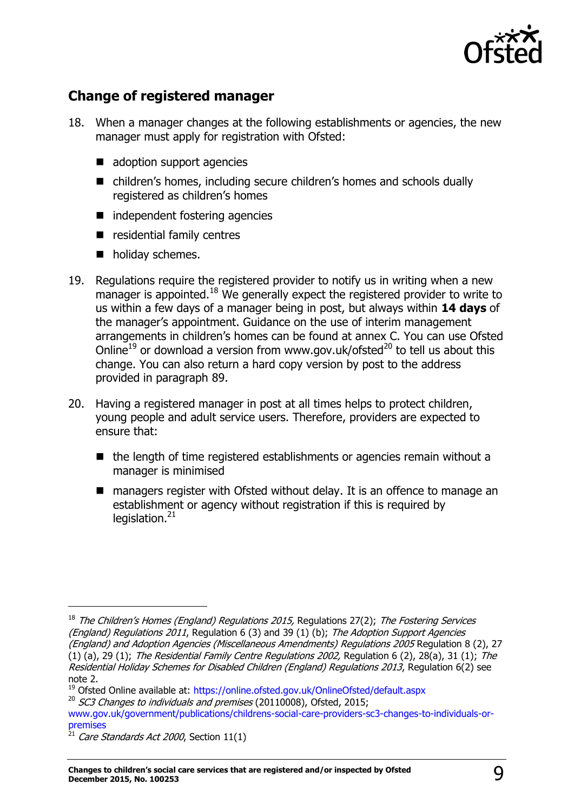

### <span id="page-8-0"></span>**Change of registered manager**

- 18. When a manager changes at the following establishments or agencies, the new manager must apply for registration with Ofsted:
	- adoption support agencies
	- children's homes, including secure children's homes and schools dually registered as children's homes
	- independent fostering agencies
	- **E** residential family centres
	- **n** holiday schemes.
- 19. Regulations require the registered provider to notify us in writing when a new manager is appointed.<sup>18</sup> We generally expect the registered provider to write to us within a few days of a manager being in post, but always within **14 days** of the manager's appointment. Guidance on the use of interim management arrangements in children's homes can be found at annex C. You can use Ofsted Online<sup>19</sup> or download a version from www.gov.uk/ofsted<sup>20</sup> to tell us about this change. You can also return a hard copy version by post to the address provided in paragraph 89.
- 20. Having a registered manager in post at all times helps to protect children, young people and adult service users. Therefore, providers are expected to ensure that:
	- $\blacksquare$  the length of time registered establishments or agencies remain without a manager is minimised
	- managers register with Ofsted without delay. It is an offence to manage an establishment or agency without registration if this is required by legislation. $21$

<sup>&</sup>lt;sup>18</sup> The Children's Homes (England) Regulations 2015, Regulations 27(2); The Fostering Services (England) Regulations 2011, Regulation 6 (3) and 39 (1) (b): The Adoption Support Agencies (England) and Adoption Agencies (Miscellaneous Amendments) Regulations 2005 Regulation 8 (2), 27 (1) (a), 29 (1); The Residential Family Centre Regulations 2002, Regulation 6 (2), 28(a), 31 (1); The Residential Holiday Schemes for Disabled Children (England) Regulations 2013, Regulation 6(2) see note 2.

<sup>&</sup>lt;sup>19</sup> Ofsted Online available at:<https://online.ofsted.gov.uk/OnlineOfsted/default.aspx>

 $20$  SC3 Changes to individuals and premises (20110008), Ofsted, 2015;

[www.gov.uk/government/publications/childrens-social-care-providers-sc3-changes-to-individuals-or](http://www.gov.uk/government/publications/childrens-social-care-providers-sc3-changes-to-individuals-or-premises)[premises](http://www.gov.uk/government/publications/childrens-social-care-providers-sc3-changes-to-individuals-or-premises) 

 $^{21}$  Care Standards Act 2000, Section 11(1)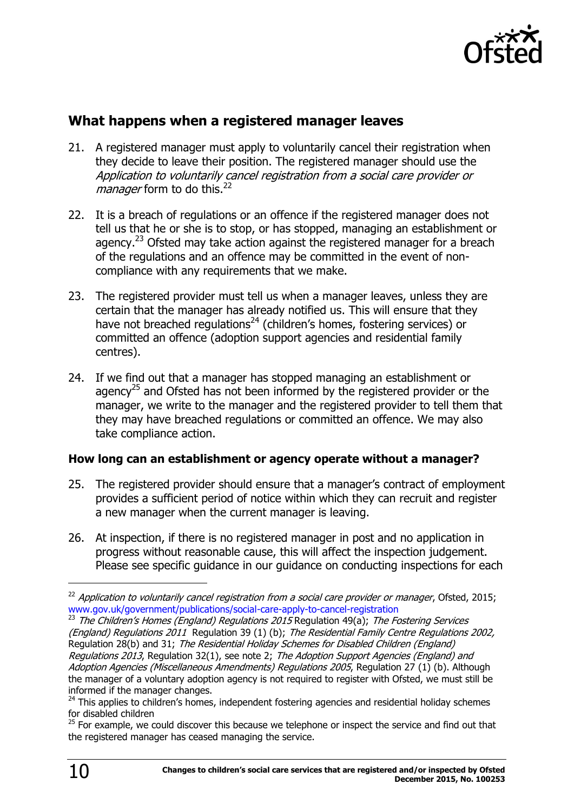

### <span id="page-9-0"></span>**What happens when a registered manager leaves**

- 21. A registered manager must apply to voluntarily cancel their registration when they decide to leave their position. The registered manager should use the Application to voluntarily cancel registration from a social care provider or *manager* form to do this.<sup>22</sup>
- 22. It is a breach of regulations or an offence if the registered manager does not tell us that he or she is to stop, or has stopped, managing an establishment or agency.<sup>23</sup> Ofsted may take action against the registered manager for a breach of the regulations and an offence may be committed in the event of noncompliance with any requirements that we make.
- 23. The registered provider must tell us when a manager leaves, unless they are certain that the manager has already notified us. This will ensure that they have not breached regulations<sup>24</sup> (children's homes, fostering services) or committed an offence (adoption support agencies and residential family centres).
- 24. If we find out that a manager has stopped managing an establishment or agency<sup>25</sup> and Ofsted has not been informed by the registered provider or the manager, we write to the manager and the registered provider to tell them that they may have breached regulations or committed an offence. We may also take compliance action.

### **How long can an establishment or agency operate without a manager?**

- 25. The registered provider should ensure that a manager's contract of employment provides a sufficient period of notice within which they can recruit and register a new manager when the current manager is leaving.
- 26. At inspection, if there is no registered manager in post and no application in progress without reasonable cause, this will affect the inspection judgement. Please see specific guidance in our guidance on conducting inspections for each

<sup>23</sup> The Children's Homes (England) Regulations 2015 Regulation 49(a); The Fostering Services (England) Regulations 2011 Regulation 39 (1) (b); The Residential Family Centre Regulations 2002, Regulation 28(b) and 31; The Residential Holiday Schemes for Disabled Children (England) Regulations 2013, Regulation 32(1), see note 2; The Adoption Support Agencies (England) and Adoption Agencies (Miscellaneous Amendments) Regulations 2005, Regulation 27 (1) (b). Although the manager of a voluntary adoption agency is not required to register with Ofsted, we must still be informed if the manager changes.

 $22$  Application to voluntarily cancel registration from a social care provider or manager, Ofsted, 2015; [www.gov.uk/government/publications/social-care-apply-to-cancel-registration](http://www.gov.uk/government/publications/social-care-apply-to-cancel-registration)

 $24$  This applies to children's homes, independent fostering agencies and residential holiday schemes for disabled children

 $25$  For example, we could discover this because we telephone or inspect the service and find out that the registered manager has ceased managing the service.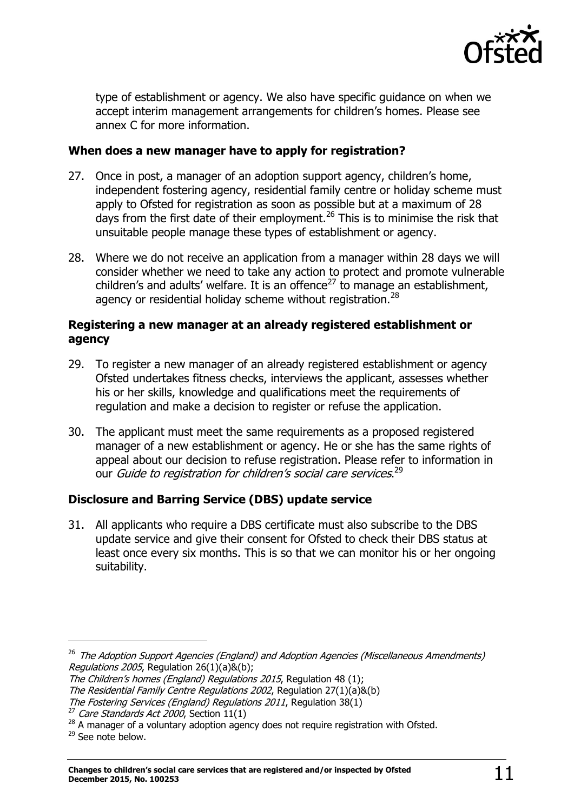

type of establishment or agency. We also have specific guidance on when we accept interim management arrangements for children's homes. Please see annex C for more information.

#### **When does a new manager have to apply for registration?**

- 27. Once in post, a manager of an adoption support agency, children's home, independent fostering agency, residential family centre or holiday scheme must apply to Ofsted for registration as soon as possible but at a maximum of 28 days from the first date of their employment.<sup>26</sup> This is to minimise the risk that unsuitable people manage these types of establishment or agency.
- 28. Where we do not receive an application from a manager within 28 days we will consider whether we need to take any action to protect and promote vulnerable children's and adults' welfare. It is an offence<sup>27</sup> to manage an establishment, agency or residential holiday scheme without registration. $^{28}$

#### **Registering a new manager at an already registered establishment or agency**

- 29. To register a new manager of an already registered establishment or agency Ofsted undertakes fitness checks, interviews the applicant, assesses whether his or her skills, knowledge and qualifications meet the requirements of regulation and make a decision to register or refuse the application.
- 30. The applicant must meet the same requirements as a proposed registered manager of a new establishment or agency. He or she has the same rights of appeal about our decision to refuse registration. Please refer to information in our *Guide to registration for children's social care services*.<sup>29</sup>

### **Disclosure and Barring Service (DBS) update service**

31. All applicants who require a DBS certificate must also subscribe to the DBS update service and give their consent for Ofsted to check their DBS status at least once every six months. This is so that we can monitor his or her ongoing suitability.

<sup>&</sup>lt;sup>26</sup> The Adoption Support Agencies (England) and Adoption Agencies (Miscellaneous Amendments) Regulations 2005, Regulation  $26(1)(a)8(b)$ ;

The Children's homes (England) Regulations 2015, Regulation 48 (1); The Residential Family Centre Regulations 2002, Regulation 27(1)(a)&(b) The Fostering Services (England) Regulations 2011, Regulation 38(1)

 $27$  Care Standards Act 2000, Section 11(1)

<sup>&</sup>lt;sup>28</sup> A manager of a voluntary adoption agency does not require registration with Ofsted.

<sup>29</sup> See note below.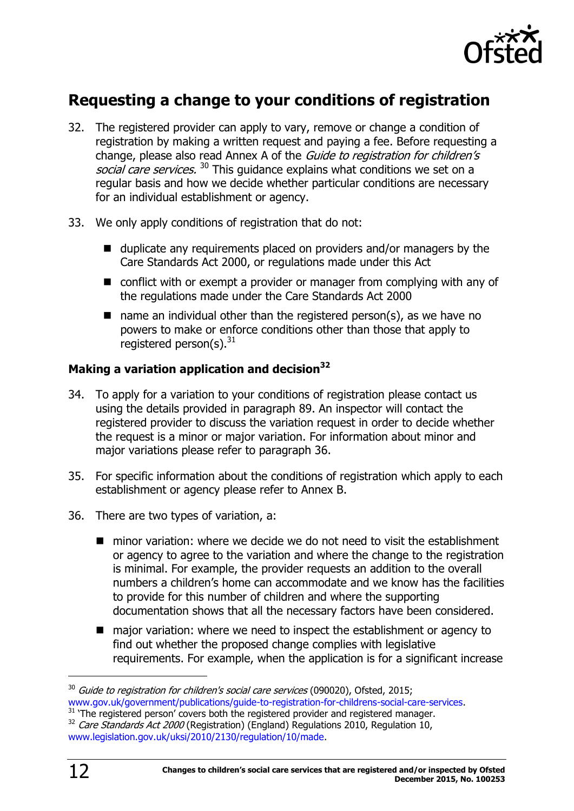

# <span id="page-11-0"></span>**Requesting a change to your conditions of registration**

- 32. The registered provider can apply to vary, remove or change a condition of registration by making a written request and paying a fee. Before requesting a change, please also read Annex A of the *Guide to registration for children's* social care services.<sup>30</sup> This guidance explains what conditions we set on a regular basis and how we decide whether particular conditions are necessary for an individual establishment or agency.
- 33. We only apply conditions of registration that do not:
	- $\blacksquare$  duplicate any requirements placed on providers and/or managers by the Care Standards Act 2000, or regulations made under this Act
	- conflict with or exempt a provider or manager from complying with any of the regulations made under the Care Standards Act 2000
	- $\blacksquare$  name an individual other than the registered person(s), as we have no powers to make or enforce conditions other than those that apply to registered person(s). $31$

### **Making a variation application and decision<sup>32</sup>**

- 34. To apply for a variation to your conditions of registration please contact us using the details provided in paragraph 89. An inspector will contact the registered provider to discuss the variation request in order to decide whether the request is a minor or major variation. For information about minor and major variations please refer to paragraph 36.
- 35. For specific information about the conditions of registration which apply to each establishment or agency please refer to Annex B.
- 36. There are two types of variation, a:
	- minor variation: where we decide we do not need to visit the establishment or agency to agree to the variation and where the change to the registration is minimal. For example, the provider requests an addition to the overall numbers a children's home can accommodate and we know has the facilities to provide for this number of children and where the supporting documentation shows that all the necessary factors have been considered.
	- major variation: where we need to inspect the establishment or agency to find out whether the proposed change complies with legislative requirements. For example, when the application is for a significant increase

<sup>31</sup> 'The registered person' covers both the registered provider and registered manager.  $32$  Care Standards Act 2000 (Registration) (England) Regulations 2010, Regulation 10, [www.legislation.gov.uk/uksi/2010/2130/regulation/10/made.](http://www.legislation.gov.uk/uksi/2010/2130/regulation/10/made)

 $30$  Guide to registration for children's social care services (090020), Ofsted, 2015; [www.gov.uk/government/publications/guide-to-registration-for-childrens-social-care-services.](http://www.gov.uk/government/publications/guide-to-registration-for-childrens-social-care-services)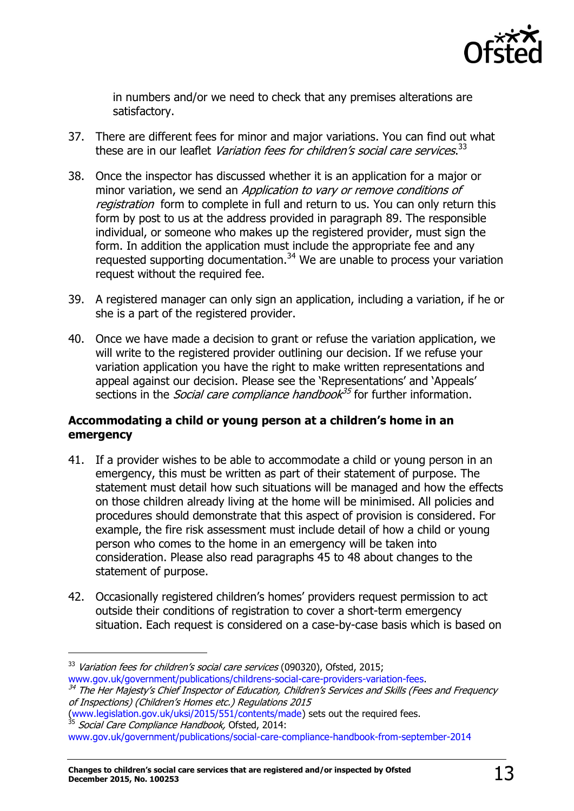

in numbers and/or we need to check that any premises alterations are satisfactory.

- 37. There are different fees for minor and major variations. You can find out what these are in our leaflet *Variation fees for children's social care services*.<sup>33</sup>
- 38. Once the inspector has discussed whether it is an application for a major or minor variation, we send an Application to vary or remove conditions of registration form to complete in full and return to us. You can only return this form by post to us at the address provided in paragraph 89. The responsible individual, or someone who makes up the registered provider, must sign the form. In addition the application must include the appropriate fee and any requested supporting documentation.<sup>34</sup> We are unable to process your variation request without the required fee.
- 39. A registered manager can only sign an application, including a variation, if he or she is a part of the registered provider.
- 40. Once we have made a decision to grant or refuse the variation application, we will write to the registered provider outlining our decision. If we refuse your variation application you have the right to make written representations and appeal against our decision. Please see the 'Representations' and 'Appeals' sections in the *Social care compliance handbook<sup>35</sup>* for further information.

### **Accommodating a child or young person at a children's home in an emergency**

- 41. If a provider wishes to be able to accommodate a child or young person in an emergency, this must be written as part of their statement of purpose. The statement must detail how such situations will be managed and how the effects on those children already living at the home will be minimised. All policies and procedures should demonstrate that this aspect of provision is considered. For example, the fire risk assessment must include detail of how a child or young person who comes to the home in an emergency will be taken into consideration. Please also read paragraphs 45 to 48 about changes to the statement of purpose.
- 42. Occasionally registered children's homes' providers request permission to act outside their conditions of registration to cover a short-term emergency situation. Each request is considered on a case-by-case basis which is based on

j

[\(www.legislation.gov.uk/uksi/2015/551/contents/made\)](http://www.legislation.gov.uk/uksi/2015/551/contents/made) sets out the required fees. <sup>35</sup> Social Care Compliance Handbook, Ofsted, 2014:

<sup>&</sup>lt;sup>33</sup> Variation fees for children's social care services (090320), Ofsted, 2015; [www.gov.uk/government/publications/childrens-social-care-providers-variation-fees.](http://www.gov.uk/government/publications/childrens-social-care-providers-variation-fees)

<sup>&</sup>lt;sup>34</sup> The Her Majesty's Chief Inspector of Education, Children's Services and Skills (Fees and Frequency of Inspections) (Children's Homes etc.) Regulations 2015

[www.gov.uk/government/publications/social-care-compliance-handbook-from-september-2014](http://www.gov.uk/government/publications/social-care-compliance-handbook-from-september-2014)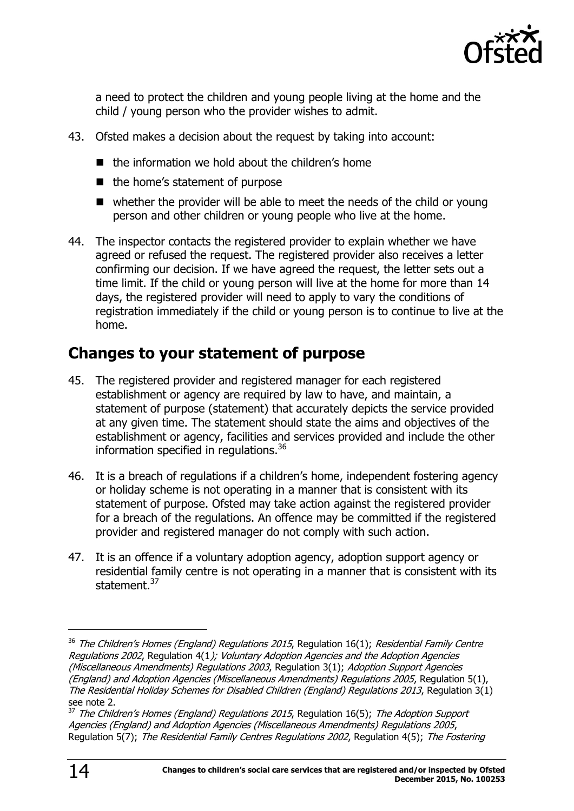

a need to protect the children and young people living at the home and the child / young person who the provider wishes to admit.

- 43. Ofsted makes a decision about the request by taking into account:
	- $\blacksquare$  the information we hold about the children's home
	- $\blacksquare$  the home's statement of purpose
	- whether the provider will be able to meet the needs of the child or young person and other children or young people who live at the home.
- 44. The inspector contacts the registered provider to explain whether we have agreed or refused the request. The registered provider also receives a letter confirming our decision. If we have agreed the request, the letter sets out a time limit. If the child or young person will live at the home for more than 14 days, the registered provider will need to apply to vary the conditions of registration immediately if the child or young person is to continue to live at the home.

# <span id="page-13-0"></span>**Changes to your statement of purpose**

- 45. The registered provider and registered manager for each registered establishment or agency are required by law to have, and maintain, a statement of purpose (statement) that accurately depicts the service provided at any given time. The statement should state the aims and objectives of the establishment or agency, facilities and services provided and include the other information specified in regulations.<sup>36</sup>
- 46. It is a breach of regulations if a children's home, independent fostering agency or holiday scheme is not operating in a manner that is consistent with its statement of purpose. Ofsted may take action against the registered provider for a breach of the regulations. An offence may be committed if the registered provider and registered manager do not comply with such action.
- 47. It is an offence if a voluntary adoption agency, adoption support agency or residential family centre is not operating in a manner that is consistent with its statement.<sup>37</sup>

 $36$  The Children's Homes (England) Regulations 2015, Regulation 16(1); Residential Family Centre Regulations 2002, Regulation 4(1); Voluntary Adoption Agencies and the Adoption Agencies (Miscellaneous Amendments) Regulations 2003, Regulation 3(1); Adoption Support Agencies (England) and Adoption Agencies (Miscellaneous Amendments) Regulations 2005, Regulation 5(1), The Residential Holiday Schemes for Disabled Children (England) Regulations 2013, Regulation 3(1) see note 2.

 $37$  The Children's Homes (England) Regulations 2015, Regulation 16(5); The Adoption Support Agencies (England) and Adoption Agencies (Miscellaneous Amendments) Regulations 2005, Regulation 5(7); The Residential Family Centres Regulations 2002, Regulation 4(5); The Fostering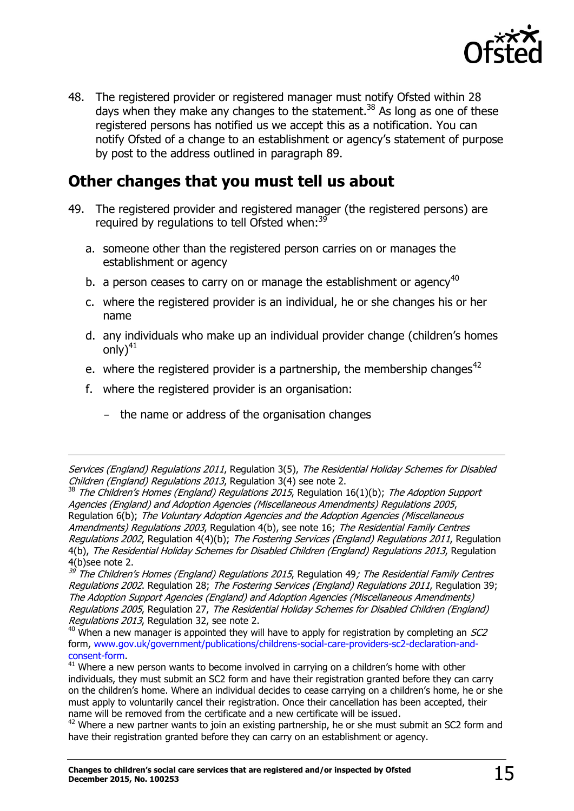

48. The registered provider or registered manager must notify Ofsted within 28 days when they make any changes to the statement.<sup>38</sup> As long as one of these registered persons has notified us we accept this as a notification. You can notify Ofsted of a change to an establishment or agency's statement of purpose by post to the address outlined in paragraph 89.

# <span id="page-14-0"></span>**Other changes that you must tell us about**

- 49. The registered provider and registered manager (the registered persons) are required by requiations to tell Ofsted when:  $39$ 
	- a. someone other than the registered person carries on or manages the establishment or agency
	- b. a person ceases to carry on or manage the establishment or agency<sup>40</sup>
	- c. where the registered provider is an individual, he or she changes his or her name
	- d. any individuals who make up an individual provider change (children's homes only) $41$
	- e. where the registered provider is a partnership, the membership changes<sup>42</sup>
	- f. where the registered provider is an organisation:

 $\overline{a}$ 

- the name or address of the organisation changes

Services (England) Regulations 2011, Regulation 3(5), The Residential Holiday Schemes for Disabled Children (England) Regulations 2013, Regulation 3(4) see note 2.

 $38$  The Children's Homes (England) Regulations 2015, Regulation 16(1)(b); The Adoption Support Agencies (England) and Adoption Agencies (Miscellaneous Amendments) Regulations 2005, Regulation 6(b); The Voluntary Adoption Agencies and the Adoption Agencies (Miscellaneous Amendments) Regulations 2003, Regulation 4(b), see note 16; The Residential Family Centres Regulations 2002, Regulation 4(4)(b); The Fostering Services (England) Regulations 2011, Regulation 4(b), The Residential Holiday Schemes for Disabled Children (England) Regulations 2013, Regulation 4(b)see note 2.

<sup>39</sup> The Children's Homes (England) Regulations 2015, Regulation 49; [The Residential Family Centres](http://www.opsi.gov.uk/si/si2002/20023213.htm#28)  [Regulations 2002](http://www.opsi.gov.uk/si/si2002/20023213.htm#28). Regulation 28; [The Fostering Services \(England\) Regulations 201](http://www.opsi.gov.uk/si/si2002/20020057.htm#46)1, Regulation 39; The Adoption Support Agencies (England) and Adoption Agencies (Miscellaneous Amendments) Regulations 2005, Regulation 27, The Residential Holiday Schemes for Disabled Children (England) Regulations 2013, Regulation 32, see note 2.

 $40$  When a new manager is appointed they will have to apply for registration by completing an  $SC2$ form, [www.gov.uk/government/publications/childrens-social-care-providers-sc2-declaration-and](http://www.gov.uk/government/publications/childrens-social-care-providers-sc2-declaration-and-consent-form)[consent-form.](http://www.gov.uk/government/publications/childrens-social-care-providers-sc2-declaration-and-consent-form)

 $41$  Where a new person wants to become involved in carrying on a children's home with other individuals, they must submit an SC2 form and have their registration granted before they can carry on the children's home. Where an individual decides to cease carrying on a children's home, he or she must apply to voluntarily cancel their registration. Once their cancellation has been accepted, their name will be removed from the certificate and a new certificate will be issued.

 $42$  Where a new partner wants to join an existing partnership, he or she must submit an SC2 form and have their registration granted before they can carry on an establishment or agency.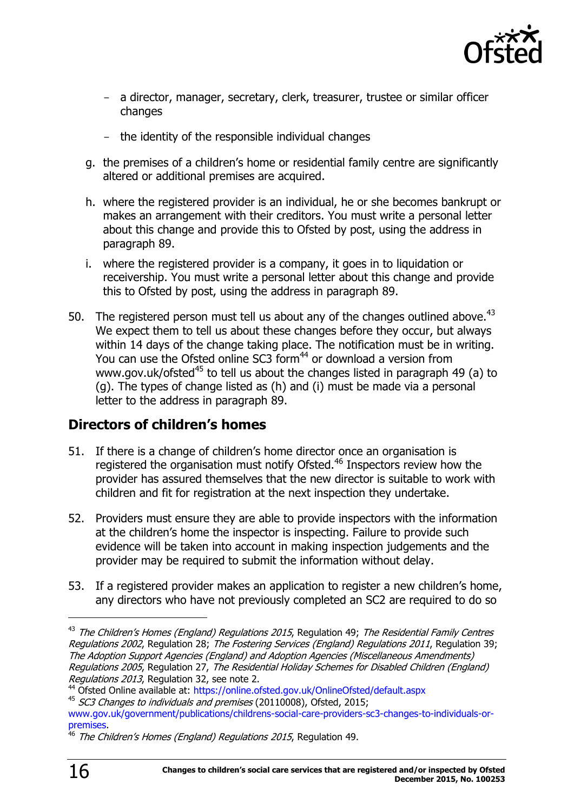

- a director, manager, secretary, clerk, treasurer, trustee or similar officer changes
- the identity of the responsible individual changes
- g. the premises of a children's home or residential family centre are significantly altered or additional premises are acquired.
- h. where the registered provider is an individual, he or she becomes bankrupt or makes an arrangement with their creditors. You must write a personal letter about this change and provide this to Ofsted by post, using the address in paragraph 89.
- i. where the registered provider is a company, it goes in to liquidation or receivership. You must write a personal letter about this change and provide this to Ofsted by post, using the address in paragraph 89.
- 50. The registered person must tell us about any of the changes outlined above.<sup>43</sup> We expect them to tell us about these changes before they occur, but always within 14 days of the change taking place. The notification must be in writing. You can use the Ofsted online SC3 form<sup>44</sup> or download a version from www.gov.uk/ofsted<sup>45</sup> to tell us about the changes listed in paragraph 49 (a) to (g). The types of change listed as (h) and (i) must be made via a personal letter to the address in paragraph 89.

### <span id="page-15-0"></span>**Directors of children's homes**

- 51. If there is a change of children's home director once an organisation is registered the organisation must notify Ofsted.<sup>46</sup> Inspectors review how the provider has assured themselves that the new director is suitable to work with children and fit for registration at the next inspection they undertake.
- 52. Providers must ensure they are able to provide inspectors with the information at the children's home the inspector is inspecting. Failure to provide such evidence will be taken into account in making inspection judgements and the provider may be required to submit the information without delay.
- 53. If a registered provider makes an application to register a new children's home, any directors who have not previously completed an SC2 are required to do so

<sup>&</sup>lt;sup>43</sup> The Children's Homes [\(England\) Regulations 2015](http://www.opsi.gov.uk/si/si2001/20013967.htm#38), Regulation 49; The Residential Family Centres [Regulations 2002](http://www.opsi.gov.uk/si/si2002/20023213.htm#28), Regulation 28; [The Fostering Services](http://www.opsi.gov.uk/si/si2002/20020057.htm#46) (England) Regulations 2011, Regulation 39; [The Adoption Support Agencies \(England\) and Adoption Agencies \(Miscellaneous Amendments\)](http://www.opsi.gov.uk/si/si2005/20052720.htm#27)  [Regulations 2005](http://www.opsi.gov.uk/si/si2005/20052720.htm#27), Regulation 27, The Residential Holiday Schemes for Disabled Children (England) Regulations 2013, Regulation 32, see note 2.

<sup>44</sup> Ofsted Online available at:<https://online.ofsted.gov.uk/OnlineOfsted/default.aspx>

<sup>&</sup>lt;sup>45</sup> SC3 Changes to individuals and premises (20110008), Ofsted, 2015;

[www.gov.uk/government/publications/childrens-social-care-providers-sc3-changes-to-individuals-or](http://www.gov.uk/government/publications/childrens-social-care-providers-sc3-changes-to-individuals-or-premises)[premises.](http://www.gov.uk/government/publications/childrens-social-care-providers-sc3-changes-to-individuals-or-premises)

<sup>&</sup>lt;sup>46</sup> The Children's Homes (England) Regulations 2015, Regulation 49.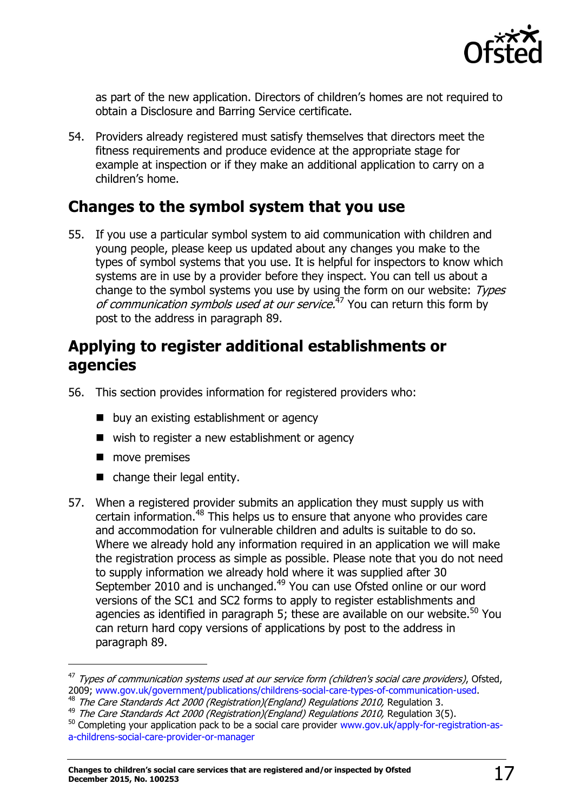

as part of the new application. Directors of children's homes are not required to obtain a Disclosure and Barring Service certificate.

54. Providers already registered must satisfy themselves that directors meet the fitness requirements and produce evidence at the appropriate stage for example at inspection or if they make an additional application to carry on a children's home.

### <span id="page-16-0"></span>**Changes to the symbol system that you use**

55. If you use a particular symbol system to aid communication with children and young people, please keep us updated about any changes you make to the types of symbol systems that you use. It is helpful for inspectors to know which systems are in use by a provider before they inspect. You can tell us about a change to the symbol systems you use by using the form on our website: Types of communication symbols used at our service.<sup>47</sup> You can return this form by post to the address in paragraph 89.

## <span id="page-16-1"></span>**Applying to register additional establishments or agencies**

- 56. This section provides information for registered providers who:
	- **D** buy an existing establishment or agency
	- wish to register a new establishment or agency
	- **n** move premises

j

- change their legal entity.
- 57. When a registered provider submits an application they must supply us with certain information.<sup>48</sup> This helps us to ensure that anyone who provides care and accommodation for vulnerable children and adults is suitable to do so. Where we already hold any information required in an application we will make the registration process as simple as possible. Please note that you do not need to supply information we already hold where it was supplied after 30 September 2010 and is unchanged.<sup>49</sup> You can use Ofsted online or our word versions of the SC1 and SC2 forms to apply to register establishments and agencies as identified in paragraph 5; these are available on our website.<sup>50</sup> You can return hard copy versions of applications by post to the address in paragraph 89.

<sup>&</sup>lt;sup>47</sup> Types of communication systems used at our service form (children's social care providers), Ofsted, 2009; [www.gov.uk/government/publications/childrens-social-care-types-of-communication-used.](http://www.gov.uk/government/publications/childrens-social-care-types-of-communication-used)

<sup>&</sup>lt;sup>48</sup> The Care Standards Act 2000 (Registration)(England) Regulations 2010, Regulation 3.

<sup>&</sup>lt;sup>49</sup> The Care Standards Act 2000 (Registration)(England) Regulations 2010, Regulation 3(5).

<sup>&</sup>lt;sup>50</sup> Completing your application pack to be a social care provider [www.gov.uk/apply-for-registration-as](http://www.gov.uk/apply-for-registration-as-a-childrens-social-care-provider-or-manager)[a-childrens-social-care-provider-or-manager](http://www.gov.uk/apply-for-registration-as-a-childrens-social-care-provider-or-manager)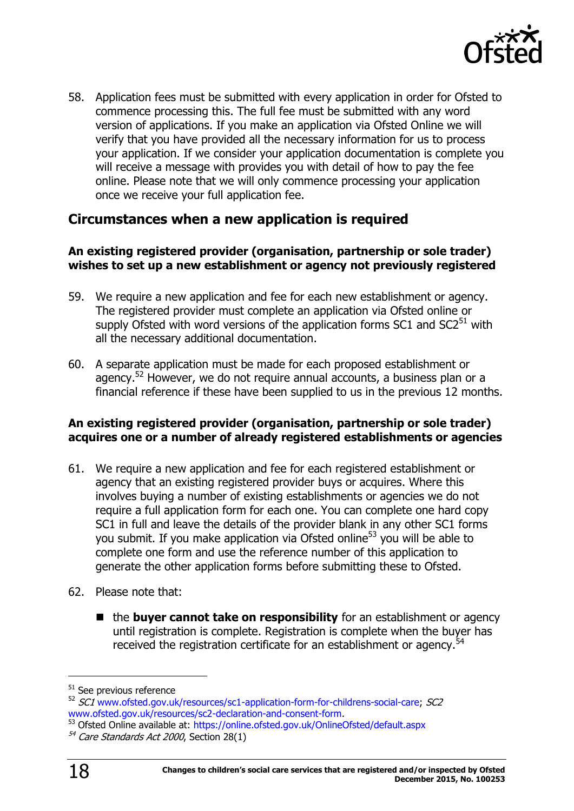

58. Application fees must be submitted with every application in order for Ofsted to commence processing this. The full fee must be submitted with any word version of applications. If you make an application via Ofsted Online we will verify that you have provided all the necessary information for us to process your application. If we consider your application documentation is complete you will receive a message with provides you with detail of how to pay the fee online. Please note that we will only commence processing your application once we receive your full application fee.

### <span id="page-17-0"></span>**Circumstances when a new application is required**

#### **An existing registered provider (organisation, partnership or sole trader) wishes to set up a new establishment or agency not previously registered**

- 59. We require a new application and fee for each new establishment or agency. The registered provider must complete an application via Ofsted online or supply Ofsted with word versions of the application forms  $SC1$  and  $SC2<sup>51</sup>$  with all the necessary additional documentation.
- 60. A separate application must be made for each proposed establishment or agency.<sup>52</sup> However, we do not require annual accounts, a business plan or a financial reference if these have been supplied to us in the previous 12 months.

### **An existing registered provider (organisation, partnership or sole trader) acquires one or a number of already registered establishments or agencies**

- 61. We require a new application and fee for each registered establishment or agency that an existing registered provider buys or acquires. Where this involves buying a number of existing establishments or agencies we do not require a full application form for each one. You can complete one hard copy SC1 in full and leave the details of the provider blank in any other SC1 forms you submit. If you make application via Ofsted online<sup>53</sup> you will be able to complete one form and use the reference number of this application to generate the other application forms before submitting these to Ofsted.
- 62. Please note that:
	- the **buyer cannot take on responsibility** for an establishment or agency until registration is complete. Registration is complete when the buyer has received the registration certificate for an establishment or agency.<sup>54</sup>

<sup>&</sup>lt;sup>51</sup> See previous reference

 $52$  SC1 [www.ofsted.gov.uk/resources/sc1-application-form-for-childrens-social-care;](http://www.ofsted.gov.uk/resources/sc1-application-form-for-childrens-social-care) SC2 [www.ofsted.gov.uk/resources/sc2-declaration-and-consent-form.](http://www.ofsted.gov.uk/resources/sc2-declaration-and-consent-form)

<sup>53</sup> Ofsted Online available at:<https://online.ofsted.gov.uk/OnlineOfsted/default.aspx>

<sup>54</sup> Care Standards Act 2000, Section 28(1)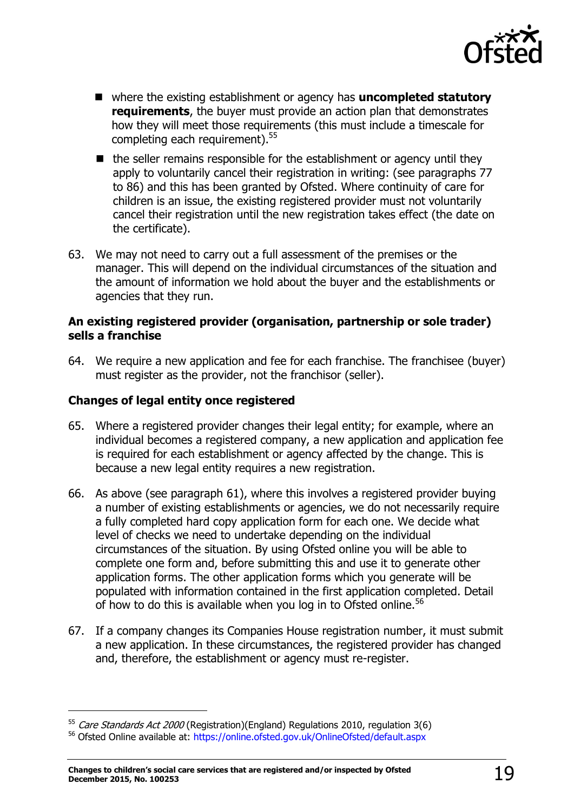

- where the existing establishment or agency has **uncompleted statutory requirements**, the buyer must provide an action plan that demonstrates how they will meet those requirements (this must include a timescale for completing each requirement).<sup>55</sup>
- $\blacksquare$  the seller remains responsible for the establishment or agency until they apply to voluntarily cancel their registration in writing: (see paragraphs 77 to 86) and this has been granted by Ofsted. Where continuity of care for children is an issue, the existing registered provider must not voluntarily cancel their registration until the new registration takes effect (the date on the certificate).
- 63. We may not need to carry out a full assessment of the premises or the manager. This will depend on the individual circumstances of the situation and the amount of information we hold about the buyer and the establishments or agencies that they run.

#### **An existing registered provider (organisation, partnership or sole trader) sells a franchise**

64. We require a new application and fee for each franchise. The franchisee (buyer) must register as the provider, not the franchisor (seller).

### **Changes of legal entity once registered**

j

- 65. Where a registered provider changes their legal entity; for example, where an individual becomes a registered company, a new application and application fee is required for each establishment or agency affected by the change. This is because a new legal entity requires a new registration.
- 66. As above (see paragraph 61), where this involves a registered provider buying a number of existing establishments or agencies, we do not necessarily require a fully completed hard copy application form for each one. We decide what level of checks we need to undertake depending on the individual circumstances of the situation. By using Ofsted online you will be able to complete one form and, before submitting this and use it to generate other application forms. The other application forms which you generate will be populated with information contained in the first application completed. Detail of how to do this is available when you log in to Ofsted online.<sup>56</sup>
- 67. If a company changes its Companies House registration number, it must submit a new application. In these circumstances, the registered provider has changed and, therefore, the establishment or agency must re-register.

 $55$  Care Standards Act 2000 (Registration)(England) Regulations 2010, regulation 3(6)

<sup>56</sup> Ofsted Online available at:<https://online.ofsted.gov.uk/OnlineOfsted/default.aspx>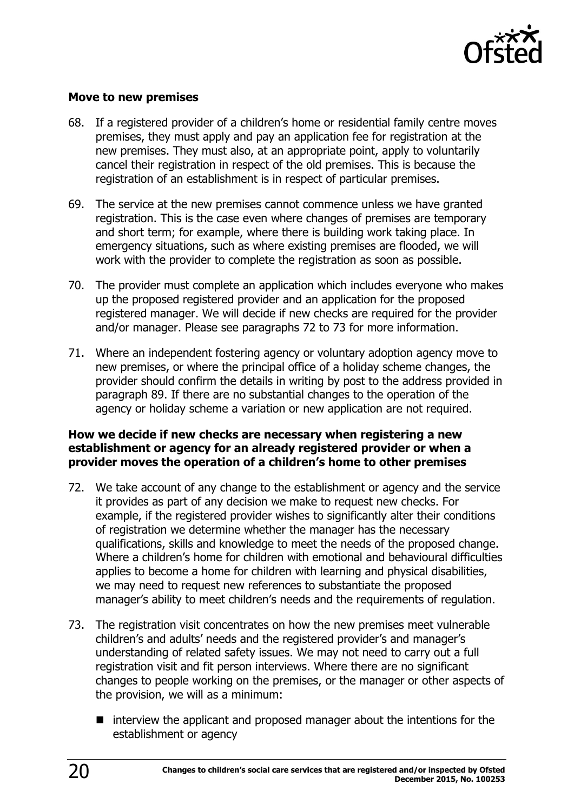

#### **Move to new premises**

- 68. If a registered provider of a children's home or residential family centre moves premises, they must apply and pay an application fee for registration at the new premises. They must also, at an appropriate point, apply to voluntarily cancel their registration in respect of the old premises. This is because the registration of an establishment is in respect of particular premises.
- 69. The service at the new premises cannot commence unless we have granted registration. This is the case even where changes of premises are temporary and short term; for example, where there is building work taking place. In emergency situations, such as where existing premises are flooded, we will work with the provider to complete the registration as soon as possible.
- 70. The provider must complete an application which includes everyone who makes up the proposed registered provider and an application for the proposed registered manager. We will decide if new checks are required for the provider and/or manager. Please see paragraphs 72 to 73 for more information.
- 71. Where an independent fostering agency or voluntary adoption agency move to new premises, or where the principal office of a holiday scheme changes, the provider should confirm the details in writing by post to the address provided in paragraph 89. If there are no substantial changes to the operation of the agency or holiday scheme a variation or new application are not required.

### **How we decide if new checks are necessary when registering a new establishment or agency for an already registered provider or when a provider moves the operation of a children's home to other premises**

- 72. We take account of any change to the establishment or agency and the service it provides as part of any decision we make to request new checks. For example, if the registered provider wishes to significantly alter their conditions of registration we determine whether the manager has the necessary qualifications, skills and knowledge to meet the needs of the proposed change. Where a children's home for children with emotional and behavioural difficulties applies to become a home for children with learning and physical disabilities, we may need to request new references to substantiate the proposed manager's ability to meet children's needs and the requirements of regulation.
- 73. The registration visit concentrates on how the new premises meet vulnerable children's and adults' needs and the registered provider's and manager's understanding of related safety issues. We may not need to carry out a full registration visit and fit person interviews. Where there are no significant changes to people working on the premises, or the manager or other aspects of the provision, we will as a minimum:
	- $\blacksquare$  interview the applicant and proposed manager about the intentions for the establishment or agency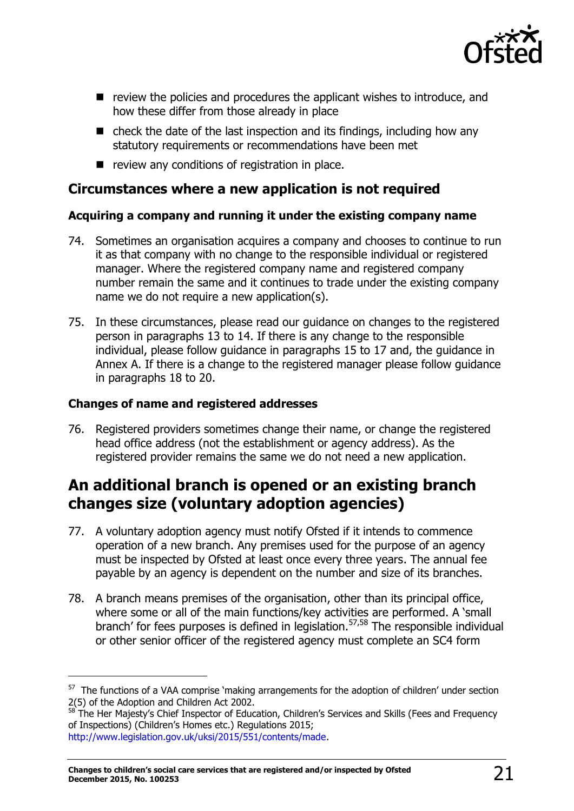

- $\blacksquare$  review the policies and procedures the applicant wishes to introduce, and how these differ from those already in place
- $\blacksquare$  check the date of the last inspection and its findings, including how any statutory requirements or recommendations have been met
- $\blacksquare$  review any conditions of registration in place.

### <span id="page-20-0"></span>**Circumstances where a new application is not required**

### **Acquiring a company and running it under the existing company name**

- 74. Sometimes an organisation acquires a company and chooses to continue to run it as that company with no change to the responsible individual or registered manager. Where the registered company name and registered company number remain the same and it continues to trade under the existing company name we do not require a new application(s).
- 75. In these circumstances, please read our guidance on changes to the registered person in paragraphs 13 to 14. If there is any change to the responsible individual, please follow guidance in paragraphs 15 to 17 and, the guidance in Annex A. If there is a change to the registered manager please follow guidance in paragraphs 18 to 20.

### **Changes of name and registered addresses**

 $\overline{a}$ 

76. Registered providers sometimes change their name, or change the registered head office address (not the establishment or agency address). As the registered provider remains the same we do not need a new application.

# <span id="page-20-1"></span>**An additional branch is opened or an existing branch changes size (voluntary adoption agencies)**

- 77. A voluntary adoption agency must notify Ofsted if it intends to commence operation of a new branch. Any premises used for the purpose of an agency must be inspected by Ofsted at least once every three years. The annual fee payable by an agency is dependent on the number and size of its branches.
- 78. A branch means premises of the organisation, other than its principal office, where some or all of the main functions/key activities are performed. A 'small branch' for fees purposes is defined in legislation.57,58 The responsible individual or other senior officer of the registered agency must complete an SC4 form

 $57$  The functions of a VAA comprise 'making arrangements for the adoption of children' under section 2(5) of the Adoption and Children Act 2002.

<sup>&</sup>lt;sup>58</sup> The Her Majesty's Chief Inspector of Education, Children's Services and Skills (Fees and Frequency of Inspections) (Children's Homes etc.) Regulations 2015; [http://www.legislation.gov.uk/uksi/2015/551/contents/made.](http://www.legislation.gov.uk/uksi/2015/551/contents/made)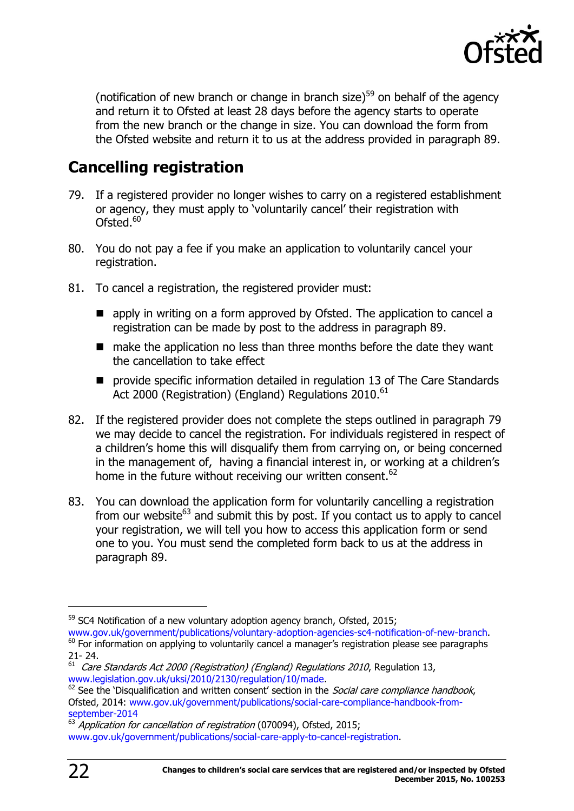

(notification of new branch or change in branch size) $59$  on behalf of the agency and return it to Ofsted at least 28 days before the agency starts to operate from the new branch or the change in size. You can download the form from the Ofsted website and return it to us at the address provided in paragraph 89.

# <span id="page-21-0"></span>**Cancelling registration**

- 79. If a registered provider no longer wishes to carry on a registered establishment or agency, they must apply to 'voluntarily cancel' their registration with Ofsted.<sup>60</sup>
- 80. You do not pay a fee if you make an application to voluntarily cancel your registration.
- 81. To cancel a registration, the registered provider must:
	- **E** apply in writing on a form approved by Ofsted. The application to cancel a registration can be made by post to the address in paragraph 89.
	- make the application no less than three months before the date they want the cancellation to take effect
	- **P** provide specific information detailed in regulation 13 of The Care Standards Act 2000 (Registration) (England) Regulations 2010.<sup>61</sup>
- 82. If the registered provider does not complete the steps outlined in paragraph 79 we may decide to cancel the registration. For individuals registered in respect of a children's home this will disqualify them from carrying on, or being concerned in the management of, having a financial interest in, or working at a children's home in the future without receiving our written consent.<sup>62</sup>
- 83. You can download the application form for voluntarily cancelling a registration from our website<sup>63</sup> and submit this by post. If you contact us to apply to cancel your registration, we will tell you how to access this application form or send one to you. You must send the completed form back to us at the address in paragraph 89.

 $59$  SC4 Notification of a new voluntary adoption agency branch, Ofsted, 2015;

[www.gov.uk/government/publications/voluntary-adoption-agencies-sc4-notification-of-new-branch.](http://www.gov.uk/government/publications/voluntary-adoption-agencies-sc4-notification-of-new-branch) <sup>60</sup> For information on applying to voluntarily cancel a manager's registration please see paragraphs 21- 24.

 $61$  Care Standards Act 2000 (Registration) (England) Regulations 2010, Regulation 13, [www.legislation.gov.uk/uksi/2010/2130/regulation/10/made.](http://www.legislation.gov.uk/uksi/2010/2130/regulation/10/made)

 $62$  [See](http://see/) the 'Disqualification and written consent' section in the *Social care compliance handbook*, Ofsted, 2014: [www.gov.uk/government/publications/social-care-compliance-handbook-from](http://www.gov.uk/government/publications/social-care-compliance-handbook-from-september-2014)[september-2014](http://www.gov.uk/government/publications/social-care-compliance-handbook-from-september-2014) 

 $63$  Application for cancellation of registration (070094), Ofsted, 2015; [www.gov.uk/government/publications/social-care-apply-to-cancel-registration.](http://www.gov.uk/government/publications/social-care-apply-to-cancel-registration)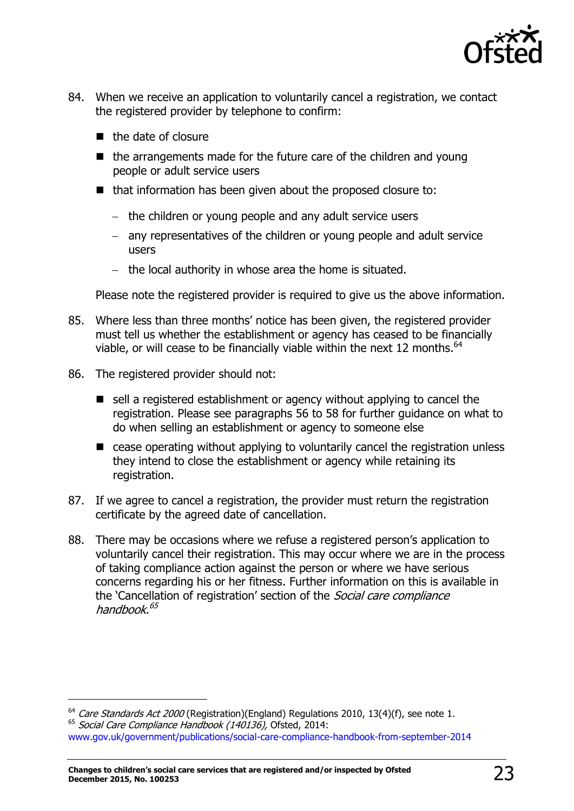

- 84. When we receive an application to voluntarily cancel a registration, we contact the registered provider by telephone to confirm:
	- $\blacksquare$  the date of closure
	- $\blacksquare$  the arrangements made for the future care of the children and young people or adult service users
	- that information has been given about the proposed closure to:
		- $-$  the children or young people and any adult service users
		- any representatives of the children or young people and adult service users
		- $-$  the local authority in whose area the home is situated.

Please note the registered provider is required to give us the above information.

- 85. Where less than three months' notice has been given, the registered provider must tell us whether the establishment or agency has ceased to be financially viable, or will cease to be financially viable within the next 12 months. $^{64}$
- 86. The registered provider should not:

- $\blacksquare$  sell a registered establishment or agency without applying to cancel the registration. Please see paragraphs 56 to 58 for further guidance on what to do when selling an establishment or agency to someone else
- cease operating without applying to voluntarily cancel the registration unless they intend to close the establishment or agency while retaining its registration.
- 87. If we agree to cancel a registration, the provider must return the registration certificate by the agreed date of cancellation.
- 88. There may be occasions where we refuse a registered person's application to voluntarily cancel their registration. This may occur where we are in the process of taking compliance action against the person or where we have serious concerns regarding his or her fitness. Further information on this is available in the 'Cancellation of registration' section of the Social care compliance handbook.<sup>65</sup>

 $64$  Care Standards Act 2000 (Registration) (England) Regulations 2010, 13(4)(f), see note 1. <sup>65</sup> Social Care Compliance Handbook (140136), Ofsted, 2014: [www.gov.uk/government/publications/social-care-compliance-handbook-from-september-2014](http://www.gov.uk/government/publications/social-care-compliance-handbook-from-september-2014)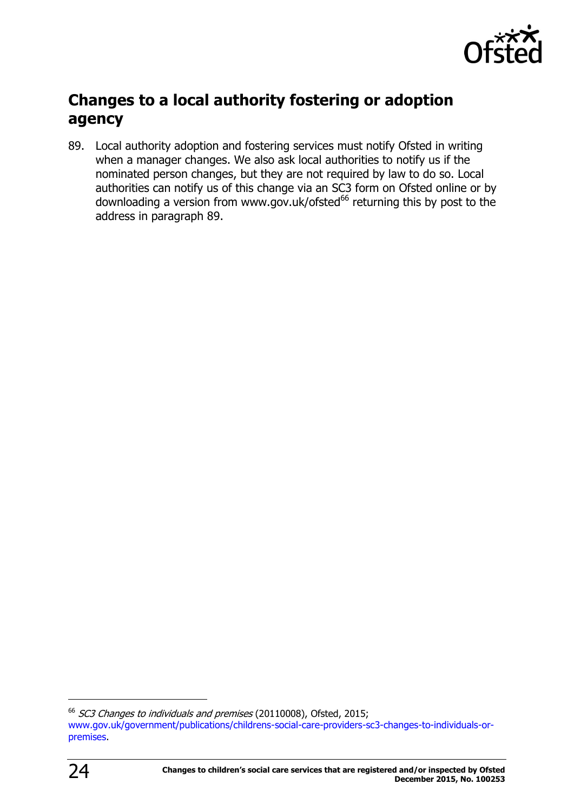

# <span id="page-23-0"></span>**Changes to a local authority fostering or adoption agency**

89. Local authority adoption and fostering services must notify Ofsted in writing when a manager changes. We also ask local authorities to notify us if the nominated person changes, but they are not required by law to do so. Local authorities can notify us of this change via an SC3 form on Ofsted online or by downloading a version from www.gov.uk/ofsted $^{66}$  returning this by post to the address in paragraph 89.

<sup>&</sup>lt;sup>66</sup> SC3 Changes to individuals and premises (20110008), Ofsted, 2015; [www.gov.uk/government/publications/childrens-social-care-providers-sc3-changes-to-individuals-or](http://www.gov.uk/government/publications/childrens-social-care-providers-sc3-changes-to-individuals-or-premises)[premises.](http://www.gov.uk/government/publications/childrens-social-care-providers-sc3-changes-to-individuals-or-premises)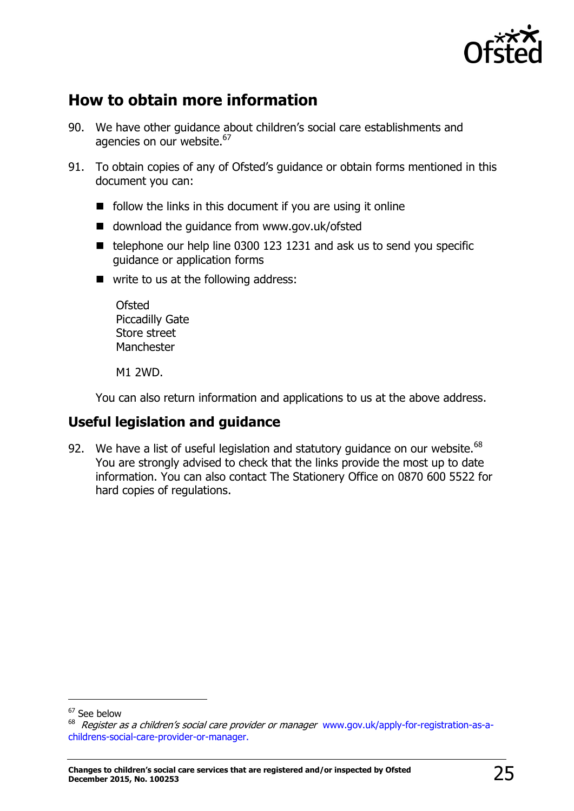

# <span id="page-24-0"></span>**How to obtain more information**

- 90. We have other guidance about children's social care establishments and agencies on our website.<sup>67</sup>
- 91. To obtain copies of any of Ofsted's guidance or obtain forms mentioned in this document you can:
	- $\blacksquare$  follow the links in this document if you are using it online
	- download the quidance from www.gov.uk/ofsted
	- $\blacksquare$  telephone our help line 0300 123 1231 and ask us to send you specific guidance or application forms
	- write to us at the following address:

Ofsted Piccadilly Gate Store street **Manchester** 

M1 2WD.

You can also return information and applications to us at the above address.

### <span id="page-24-1"></span>**Useful legislation and guidance**

92. We have a list of useful legislation and statutory quidance on our website. $^{68}$ You are strongly advised to check that the links provide the most up to date information. You can also contact The Stationery Office on 0870 600 5522 for hard copies of regulations.

<sup>&</sup>lt;sup>67</sup> See below

<sup>&</sup>lt;sup>68</sup> Register as a children's social care provider or manager www.gov.uk/apply-for-registration-as-achildrens-social-care-provider-or-manager.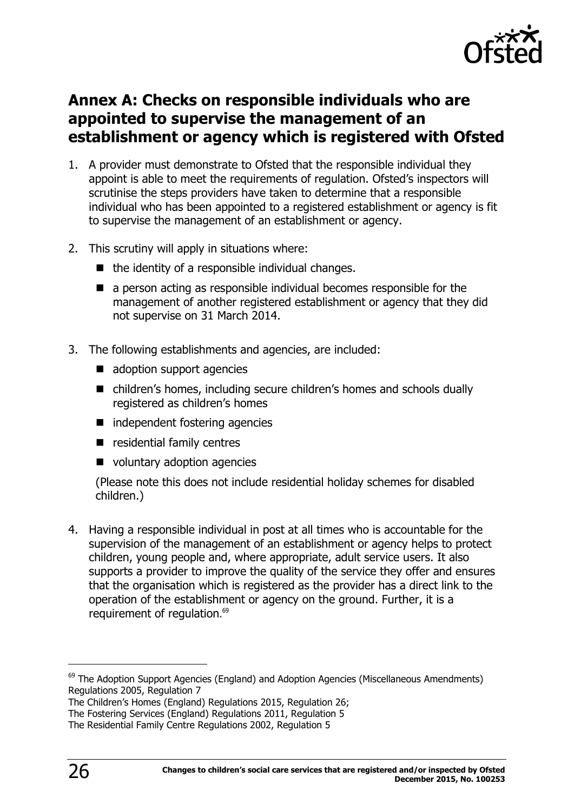

# <span id="page-25-0"></span>**Annex A: Checks on responsible individuals who are appointed to supervise the management of an establishment or agency which is registered with Ofsted**

- 1. A provider must demonstrate to Ofsted that the responsible individual they appoint is able to meet the requirements of regulation. Ofsted's inspectors will scrutinise the steps providers have taken to determine that a responsible individual who has been appointed to a registered establishment or agency is fit to supervise the management of an establishment or agency.
- 2. This scrutiny will apply in situations where:
	- $\blacksquare$  the identity of a responsible individual changes.
	- a person acting as responsible individual becomes responsible for the management of another registered establishment or agency that they did not supervise on 31 March 2014.
- 3. The following establishments and agencies, are included:
	- adoption support agencies
	- children's homes, including secure children's homes and schools dually registered as children's homes
	- independent fostering agencies
	- $\blacksquare$  residential family centres
	- voluntary adoption agencies

(Please note this does not include residential holiday schemes for disabled children.)

4. Having a responsible individual in post at all times who is accountable for the supervision of the management of an establishment or agency helps to protect children, young people and, where appropriate, adult service users. It also supports a provider to improve the quality of the service they offer and ensures that the organisation which is registered as the provider has a direct link to the operation of the establishment or agency on the ground. Further, it is a requirement of regulation. 69

j

 $69$  The Adoption Support Agencies (England) and Adoption Agencies (Miscellaneous Amendments) Regulations 2005, Regulation 7

The Children's Homes (England) Regulations 2015, Regulation 26;

The Fostering Services (England) Regulations 2011, Regulation 5

The Residential Family Centre Regulations 2002, Regulation 5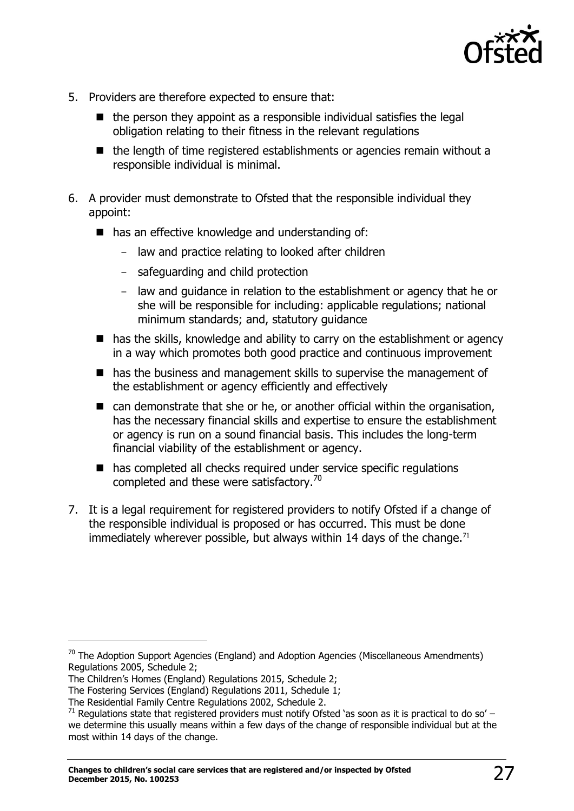

- 5. Providers are therefore expected to ensure that:
	- $\blacksquare$  the person they appoint as a responsible individual satisfies the legal obligation relating to their fitness in the relevant regulations
	- $\blacksquare$  the length of time registered establishments or agencies remain without a responsible individual is minimal.
- 6. A provider must demonstrate to Ofsted that the responsible individual they appoint:
	- has an effective knowledge and understanding of:
		- law and practice relating to looked after children
		- safeguarding and child protection
		- law and guidance in relation to the establishment or agency that he or she will be responsible for including: applicable regulations; national minimum standards; and, statutory guidance
	- has the skills, knowledge and ability to carry on the establishment or agency in a way which promotes both good practice and continuous improvement
	- has the business and management skills to supervise the management of the establishment or agency efficiently and effectively
	- can demonstrate that she or he, or another official within the organisation, has the necessary financial skills and expertise to ensure the establishment or agency is run on a sound financial basis. This includes the long-term financial viability of the establishment or agency.
	- has completed all checks required under service specific regulations completed and these were satisfactory.<sup>70</sup>
- 7. It is a legal requirement for registered providers to notify Ofsted if a change of the responsible individual is proposed or has occurred. This must be done immediately wherever possible, but always within 14 days of the change. $71$

The Children's Homes (England) Regulations 2015, Schedule 2;

 $70$  The Adoption Support Agencies (England) and Adoption Agencies (Miscellaneous Amendments) Regulations 2005, Schedule 2;

The Fostering Services (England) Regulations 2011, Schedule 1;

The Residential Family Centre Regulations 2002, Schedule 2.

<sup>&</sup>lt;sup>71</sup> Regulations state that registered providers must notify Ofsted 'as soon as it is practical to do so' – we determine this usually means within a few days of the change of responsible individual but at the most within 14 days of the change.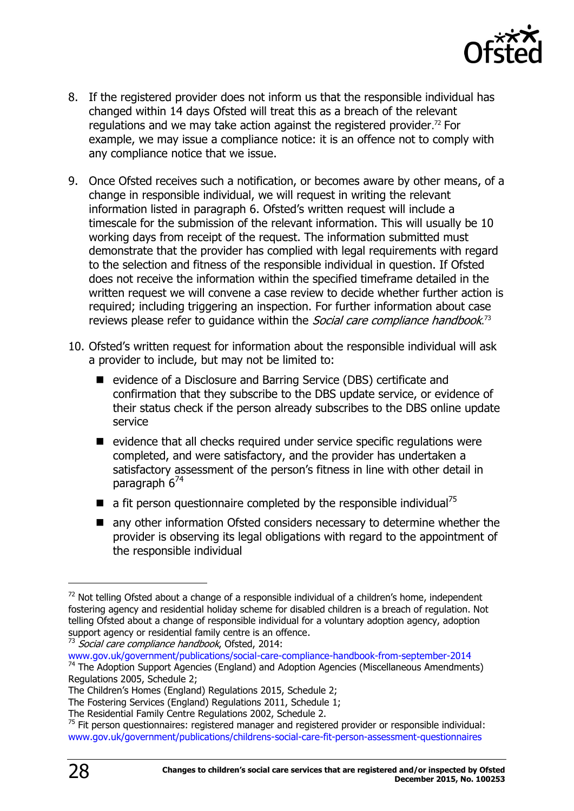

- 8. If the registered provider does not inform us that the responsible individual has changed within 14 days Ofsted will treat this as a breach of the relevant regulations and we may take action against the registered provider.<sup>72</sup> For example, we may issue a compliance notice: it is an offence not to comply with any compliance notice that we issue.
- 9. Once Ofsted receives such a notification, or becomes aware by other means, of a change in responsible individual, we will request in writing the relevant information listed in paragraph 6. Ofsted's written request will include a timescale for the submission of the relevant information. This will usually be 10 working days from receipt of the request. The information submitted must demonstrate that the provider has complied with legal requirements with regard to the selection and fitness of the responsible individual in question. If Ofsted does not receive the information within the specified timeframe detailed in the written request we will convene a case review to decide whether further action is required; including triggering an inspection. For further information about case reviews please refer to guidance within the *Social care compliance handbook*.<sup>73</sup>
- 10. Ofsted's written request for information about the responsible individual will ask a provider to include, but may not be limited to:
	- evidence of a Disclosure and Barring Service (DBS) certificate and confirmation that they subscribe to the DBS update service, or evidence of their status check if the person already subscribes to the DBS online update service
	- $\blacksquare$  evidence that all checks required under service specific regulations were completed, and were satisfactory, and the provider has undertaken a satisfactory assessment of the person's fitness in line with other detail in paragraph 6<sup>74</sup>
	- a fit person questionnaire completed by the responsible individual<sup>75</sup>
	- any other information Ofsted considers necessary to determine whether the provider is observing its legal obligations with regard to the appointment of the responsible individual

 $73$  Social care compliance handbook, Ofsted, 2014:

 $72$  Not telling Ofsted about a change of a responsible individual of a children's home, independent fostering agency and residential holiday scheme for disabled children is a breach of regulation. Not telling Ofsted about a change of responsible individual for a voluntary adoption agency, adoption support agency or residential family centre is an offence.

[www.gov.uk/government/publications/social-care-compliance-handbook-from-september-2014](http://www.gov.uk/government/publications/social-care-compliance-handbook-from-september-2014)  $74$  The Adoption Support Agencies (England) and Adoption Agencies (Miscellaneous Amendments) Regulations 2005, Schedule 2;

The Children's Homes (England) Regulations 2015, Schedule 2;

The Fostering Services (England) Regulations 2011, Schedule 1;

The Residential Family Centre Regulations 2002, Schedule 2.

 $75$  Fit person questionnaires: registered manager and registered provider or responsible individual: [www.gov.uk/government/publications/childrens-social-care-fit-person-assessment-questionnaires](http://www.gov.uk/government/publications/childrens-social-care-fit-person-assessment-questionnaires)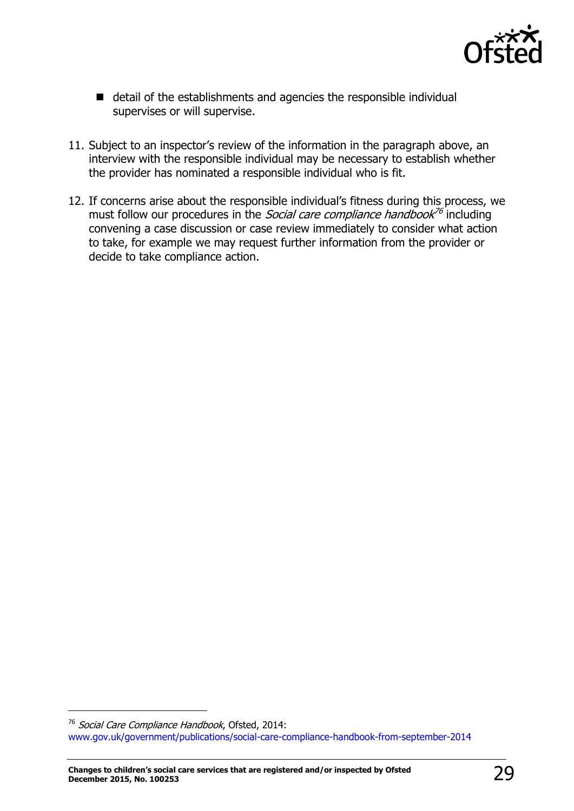

- detail of the establishments and agencies the responsible individual supervises or will supervise.
- 11. Subject to an inspector's review of the information in the paragraph above, an interview with the responsible individual may be necessary to establish whether the provider has nominated a responsible individual who is fit.
- 12. If concerns arise about the responsible individual's fitness during this process, we must follow our procedures in the *Social care compliance handbook<sup>76</sup>* including convening a case discussion or case review immediately to consider what action to take, for example we may request further information from the provider or decide to take compliance action.

j

<sup>&</sup>lt;sup>76</sup> Social Care Compliance Handbook, Ofsted, 2014: [www.gov.uk/government/publications/social-care-compliance-handbook-from-september-2014](http://www.gov.uk/government/publications/social-care-compliance-handbook-from-september-2014)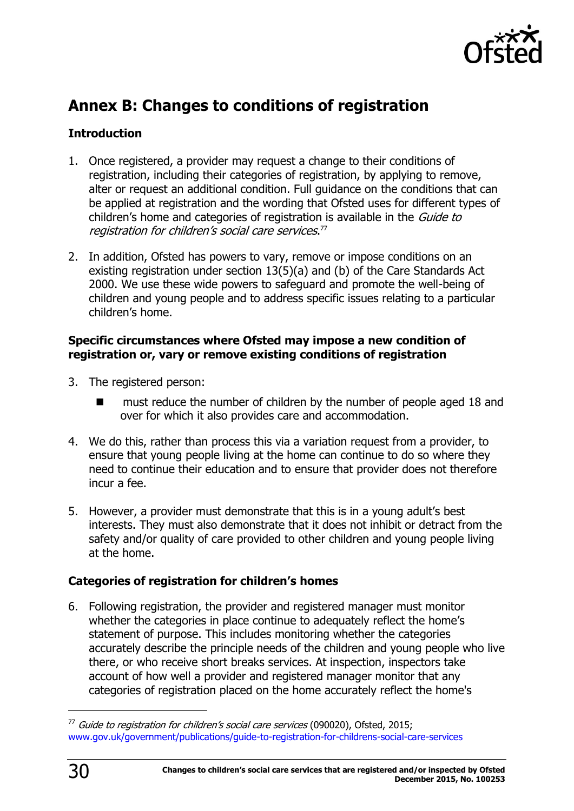

# <span id="page-29-0"></span>**Annex B: Changes to conditions of registration**

### **Introduction**

- 1. Once registered, a provider may request a change to their conditions of registration, including their categories of registration, by applying to remove, alter or request an additional condition. Full guidance on the conditions that can be applied at registration and the wording that Ofsted uses for different types of children's home and categories of registration is available in the *Guide to* registration for children's social care services. 77
- 2. In addition, Ofsted has powers to vary, remove or impose conditions on an existing registration under section 13(5)(a) and (b) of the Care Standards Act 2000. We use these wide powers to safeguard and promote the well-being of children and young people and to address specific issues relating to a particular children's home.

### **Specific circumstances where Ofsted may impose a new condition of registration or, vary or remove existing conditions of registration**

- 3. The registered person:
	- must reduce the number of children by the number of people aged 18 and over for which it also provides care and accommodation.
- 4. We do this, rather than process this via a variation request from a provider, to ensure that young people living at the home can continue to do so where they need to continue their education and to ensure that provider does not therefore incur a fee.
- 5. However, a provider must demonstrate that this is in a young adult's best interests. They must also demonstrate that it does not inhibit or detract from the safety and/or quality of care provided to other children and young people living at the home.

### **Categories of registration for children's homes**

6. Following registration, the provider and registered manager must monitor whether the categories in place continue to adequately reflect the home's statement of purpose. This includes monitoring whether the categories accurately describe the principle needs of the children and young people who live there, or who receive short breaks services. At inspection, inspectors take account of how well a provider and registered manager monitor that any categories of registration placed on the home accurately reflect the home's

j

 $77$  Guide to registration for children's social care services (090020), Ofsted, 2015; [www.gov.uk/government/publications/guide-to-registration-for-childrens-social-care-services](http://www.gov.uk/government/publications/guide-to-registration-for-childrens-social-care-services)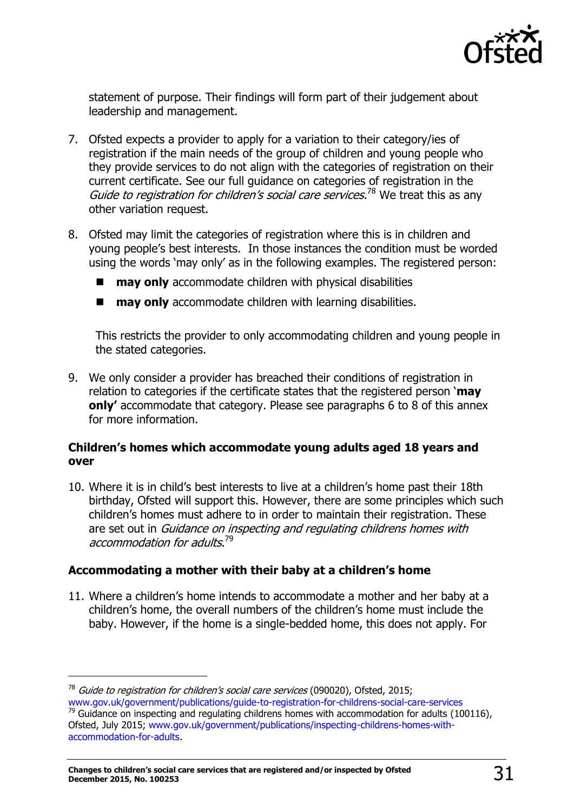

statement of purpose. Their findings will form part of their judgement about leadership and management.

- 7. Ofsted expects a provider to apply for a variation to their category/ies of registration if the main needs of the group of children and young people who they provide services to do not align with the categories of registration on their current certificate. See our full guidance on categories of registration in the Guide to registration for children's social care services.<sup>78</sup> We treat this as any other variation request.
- 8. Ofsted may limit the categories of registration where this is in children and young people's best interests. In those instances the condition must be worded using the words 'may only' as in the following examples. The registered person:
	- **may only** accommodate children with physical disabilities
	- **may only** accommodate children with learning disabilities.

This restricts the provider to only accommodating children and young people in the stated categories.

9. We only consider a provider has breached their conditions of registration in relation to categories if the certificate states that the registered person '**may only'** accommodate that category. Please see paragraphs 6 to 8 of this annex for more information.

### **Children's homes which accommodate young adults aged 18 years and over**

10. Where it is in child's best interests to live at a children's home past their 18th birthday, Ofsted will support this. However, there are some principles which such children's homes must adhere to in order to maintain their registration. These are set out in Guidance on inspecting and regulating childrens homes with accommodation for adults.<sup>79</sup>

### **Accommodating a mother with their baby at a children's home**

11. Where a children's home intends to accommodate a mother and her baby at a children's home, the overall numbers of the children's home must include the baby. However, if the home is a single-bedded home, this does not apply. For

 $78$  Guide to registration for children's social care services (090020), Ofsted, 2015; [www.gov.uk/government/publications/guide-to-registration-for-childrens-social-care-services](http://www.gov.uk/government/publications/guide-to-registration-for-childrens-social-care-services)

 $79$  Guidance on inspecting and regulating childrens homes with accommodation for adults (100116), Ofsted, July 2015; [www.gov.uk/government/publications/inspecting-childrens-homes-with](http://www.gov.uk/government/publications/inspecting-childrens-homes-with-accommodation-for-adults)[accommodation-for-adults.](http://www.gov.uk/government/publications/inspecting-childrens-homes-with-accommodation-for-adults)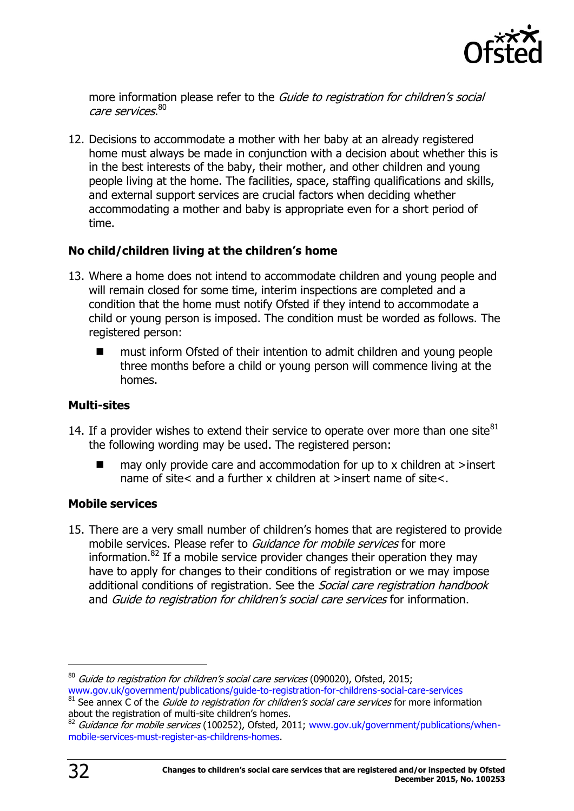

more information please refer to the Guide to registration for children's social care services. $^{\rm 80}$ 

12. Decisions to accommodate a mother with her baby at an already registered home must always be made in conjunction with a decision about whether this is in the best interests of the baby, their mother, and other children and young people living at the home. The facilities, space, staffing qualifications and skills, and external support services are crucial factors when deciding whether accommodating a mother and baby is appropriate even for a short period of time.

### **No child/children living at the children's home**

- 13. Where a home does not intend to accommodate children and young people and will remain closed for some time, interim inspections are completed and a condition that the home must notify Ofsted if they intend to accommodate a child or young person is imposed. The condition must be worded as follows. The registered person:
	- must inform Ofsted of their intention to admit children and young people three months before a child or young person will commence living at the homes.

### **Multi-sites**

- 14. If a provider wishes to extend their service to operate over more than one site $^{81}$ the following wording may be used. The registered person:
	- may only provide care and accommodation for up to x children at >insert name of site< and a further x children at >insert name of site<.

### **Mobile services**

15. There are a very small number of children's homes that are registered to provide mobile services. Please refer to Guidance for mobile services for more information. $82$  If a mobile service provider changes their operation they may have to apply for changes to their conditions of registration or we may impose additional conditions of registration. See the *Social care registration handbook* and Guide to registration for children's social care services for information.

j

 $80$  Guide to registration for children's social care services (090020), Ofsted, 2015; [www.gov.uk/government/publications/guide-to-registration-for-childrens-social-care-services](http://www.gov.uk/government/publications/guide-to-registration-for-childrens-social-care-services)

 $81$  See annex  $\overline{C}$  of the *Guide to registration for children's social care services* for more information about the registration of multi-site children's homes.

 $82$  Guidance for mobile services (100252), Ofsted, 2011; [www.gov.uk/government/publications/when](http://www.gov.uk/government/publications/when-mobile-services-must-register-as-childrens-homes)[mobile-services-must-register-as-childrens-homes.](http://www.gov.uk/government/publications/when-mobile-services-must-register-as-childrens-homes)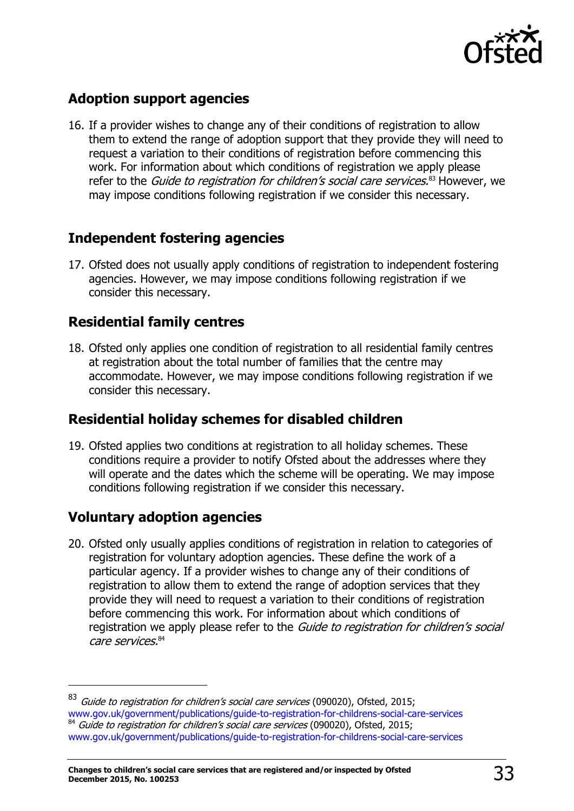

### **Adoption support agencies**

16. If a provider wishes to change any of their conditions of registration to allow them to extend the range of adoption support that they provide they will need to request a variation to their conditions of registration before commencing this work. For information about which conditions of registration we apply please refer to the *Guide to registration for children's social care services.*<sup>83</sup> However, we may impose conditions following registration if we consider this necessary.

### **Independent fostering agencies**

17. Ofsted does not usually apply conditions of registration to independent fostering agencies. However, we may impose conditions following registration if we consider this necessary.

### **Residential family centres**

18. Ofsted only applies one condition of registration to all residential family centres at registration about the total number of families that the centre may accommodate. However, we may impose conditions following registration if we consider this necessary.

### **Residential holiday schemes for disabled children**

19. Ofsted applies two conditions at registration to all holiday schemes. These conditions require a provider to notify Ofsted about the addresses where they will operate and the dates which the scheme will be operating. We may impose conditions following registration if we consider this necessary.

### **Voluntary adoption agencies**

 $\overline{a}$ 

20. Ofsted only usually applies conditions of registration in relation to categories of registration for voluntary adoption agencies. These define the work of a particular agency. If a provider wishes to change any of their conditions of registration to allow them to extend the range of adoption services that they provide they will need to request a variation to their conditions of registration before commencing this work. For information about which conditions of registration we apply please refer to the *Guide to registration for children's social* care services. 84

<sup>&</sup>lt;sup>83</sup> Guide to registration for children's social care services (090020), Ofsted, 2015; [www.gov.uk/government/publications/guide-to-registration-for-childrens-social-care-services](http://www.gov.uk/government/publications/guide-to-registration-for-childrens-social-care-services) <sup>84</sup> Guide to registration for children's social care services (090020), Ofsted, 2015; [www.gov.uk/government/publications/guide-to-registration-for-childrens-social-care-services](http://www.gov.uk/government/publications/guide-to-registration-for-childrens-social-care-services)

**Changes to children's social care services that are registered and/or inspected by Ofsted December 2015, No. 100253** 33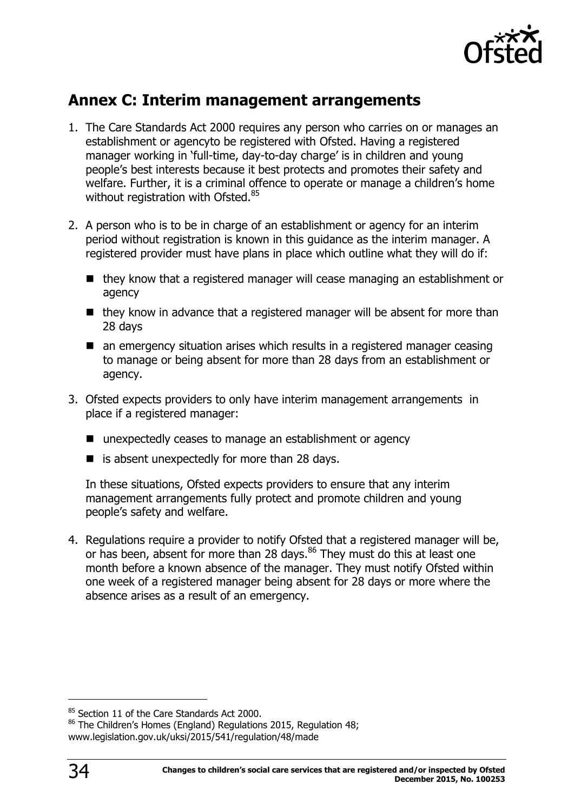

# <span id="page-33-0"></span>**Annex C: Interim management arrangements**

- 1. The Care Standards Act 2000 requires any person who carries on or manages an establishment or agencyto be registered with Ofsted. Having a registered manager working in 'full-time, day-to-day charge' is in children and young people's best interests because it best protects and promotes their safety and welfare. Further, it is a criminal offence to operate or manage a children's home without registration with Ofsted.<sup>85</sup>
- 2. A person who is to be in charge of an establishment or agency for an interim period without registration is known in this guidance as the interim manager. A registered provider must have plans in place which outline what they will do if:
	- they know that a registered manager will cease managing an establishment or agency
	- they know in advance that a registered manager will be absent for more than 28 days
	- an emergency situation arises which results in a registered manager ceasing to manage or being absent for more than 28 days from an establishment or agency.
- 3. Ofsted expects providers to only have interim management arrangements in place if a registered manager:
	- unexpectedly ceases to manage an establishment or agency
	- $\blacksquare$  is absent unexpectedly for more than 28 days.

In these situations, Ofsted expects providers to ensure that any interim management arrangements fully protect and promote children and young people's safety and welfare.

4. Regulations require a provider to notify Ofsted that a registered manager will be, or has been, absent for more than 28 days.<sup>86</sup> They must do this at least one month before a known absence of the manager. They must notify Ofsted within one week of a registered manager being absent for 28 days or more where the absence arises as a result of an emergency.

<sup>&</sup>lt;sup>85</sup> Section 11 of the Care Standards Act 2000.

<sup>86</sup> The Children's Homes (England) Regulations 2015, Regulation 48; www.legislation.gov.uk/uksi/2015/541/regulation/48/made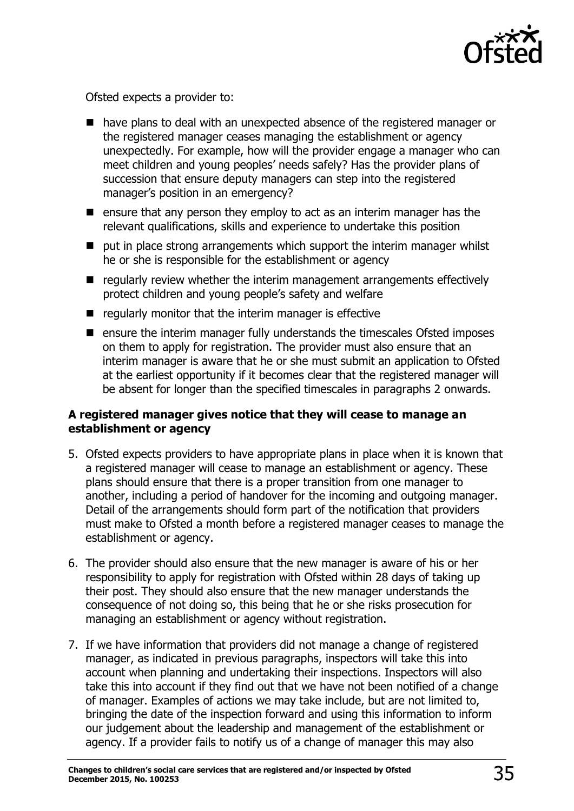

Ofsted expects a provider to:

- have plans to deal with an unexpected absence of the registered manager or the registered manager ceases managing the establishment or agency unexpectedly. For example, how will the provider engage a manager who can meet children and young peoples' needs safely? Has the provider plans of succession that ensure deputy managers can step into the registered manager's position in an emergency?
- $\blacksquare$  ensure that any person they employ to act as an interim manager has the relevant qualifications, skills and experience to undertake this position
- put in place strong arrangements which support the interim manager whilst he or she is responsible for the establishment or agency
- $\blacksquare$  regularly review whether the interim management arrangements effectively protect children and young people's safety and welfare
- $\blacksquare$  regularly monitor that the interim manager is effective
- $\blacksquare$  ensure the interim manager fully understands the timescales Ofsted imposes on them to apply for registration. The provider must also ensure that an interim manager is aware that he or she must submit an application to Ofsted at the earliest opportunity if it becomes clear that the registered manager will be absent for longer than the specified timescales in paragraphs 2 onwards.

### **A registered manager gives notice that they will cease to manage an establishment or agency**

- 5. Ofsted expects providers to have appropriate plans in place when it is known that a registered manager will cease to manage an establishment or agency. These plans should ensure that there is a proper transition from one manager to another, including a period of handover for the incoming and outgoing manager. Detail of the arrangements should form part of the notification that providers must make to Ofsted a month before a registered manager ceases to manage the establishment or agency.
- 6. The provider should also ensure that the new manager is aware of his or her responsibility to apply for registration with Ofsted within 28 days of taking up their post. They should also ensure that the new manager understands the consequence of not doing so, this being that he or she risks prosecution for managing an establishment or agency without registration.
- 7. If we have information that providers did not manage a change of registered manager, as indicated in previous paragraphs, inspectors will take this into account when planning and undertaking their inspections. Inspectors will also take this into account if they find out that we have not been notified of a change of manager. Examples of actions we may take include, but are not limited to, bringing the date of the inspection forward and using this information to inform our judgement about the leadership and management of the establishment or agency. If a provider fails to notify us of a change of manager this may also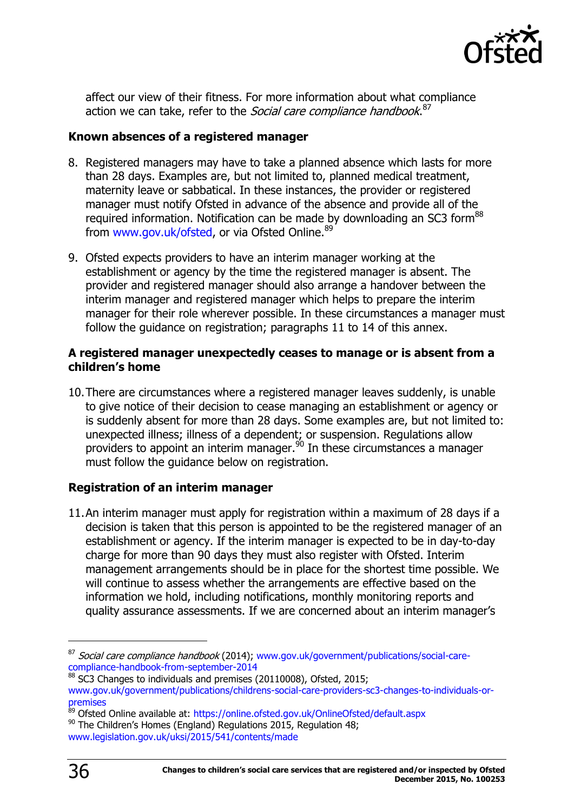

affect our view of their fitness. For more information about what compliance action we can take, refer to the *Social care compliance handbook*.<sup>87</sup>

#### **Known absences of a registered manager**

- 8. Registered managers may have to take a planned absence which lasts for more than 28 days. Examples are, but not limited to, planned medical treatment, maternity leave or sabbatical. In these instances, the provider or registered manager must notify Ofsted in advance of the absence and provide all of the required information. Notification can be made by downloading an SC3 form<sup>88</sup> from [www.gov.uk/ofsted,](http://www.gov.uk/ofsted) or via Ofsted Online.<sup>89</sup>
- 9. Ofsted expects providers to have an interim manager working at the establishment or agency by the time the registered manager is absent. The provider and registered manager should also arrange a handover between the interim manager and registered manager which helps to prepare the interim manager for their role wherever possible. In these circumstances a manager must follow the guidance on registration; paragraphs 11 to 14 of this annex.

#### **A registered manager unexpectedly ceases to manage or is absent from a children's home**

10.There are circumstances where a registered manager leaves suddenly, is unable to give notice of their decision to cease managing an establishment or agency or is suddenly absent for more than 28 days. Some examples are, but not limited to: unexpected illness; illness of a dependent; or suspension. Regulations allow providers to appoint an interim manager.<sup>90</sup> In these circumstances a manager must follow the guidance below on registration.

### **Registration of an interim manager**

11.An interim manager must apply for registration within a maximum of 28 days if a decision is taken that this person is appointed to be the registered manager of an establishment or agency. If the interim manager is expected to be in day-to-day charge for more than 90 days they must also register with Ofsted. Interim management arrangements should be in place for the shortest time possible. We will continue to assess whether the arrangements are effective based on the information we hold, including notifications, monthly monitoring reports and quality assurance assessments. If we are concerned about an interim manager's

 $87$  Social care compliance handbook (2014); [www.gov.uk/government/publications/social-care](http://www.gov.uk/government/publications/social-care-compliance-handbook-from-september-2014)[compliance-handbook-from-september-2014](http://www.gov.uk/government/publications/social-care-compliance-handbook-from-september-2014)

<sup>88</sup> SC3 Changes to individuals and premises (20110008), Ofsted, 2015;

[www.gov.uk/government/publications/childrens-social-care-providers-sc3-changes-to-individuals-or](http://www.gov.uk/government/publications/childrens-social-care-providers-sc3-changes-to-individuals-or-premises)[premises](http://www.gov.uk/government/publications/childrens-social-care-providers-sc3-changes-to-individuals-or-premises)

<sup>89</sup> Ofsted Online available at:<https://online.ofsted.gov.uk/OnlineOfsted/default.aspx>

 $90$  The Children's Homes (England) Regulations 2015, Regulation 48;

[www.legislation.gov.uk/uksi/2015/541/contents/made](http://teams/sites/SocialCare/Shared%20Documents/Registration-Compliance-OfficeBase%20changes%20(Jan%202015)/www.legislation.gov.uk/uksi/2015/541/contents/made)